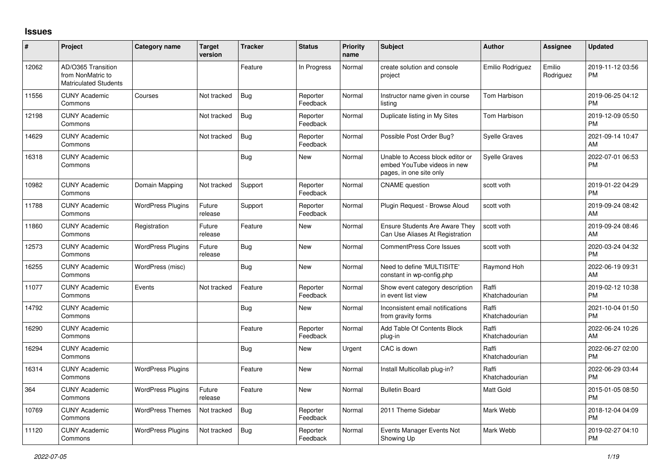## **Issues**

| ∦     | Project                                                                 | Category name            | <b>Target</b><br>version | <b>Tracker</b> | <b>Status</b>        | Priority<br>name | <b>Subject</b>                                                                             | <b>Author</b>           | Assignee            | <b>Updated</b>                |
|-------|-------------------------------------------------------------------------|--------------------------|--------------------------|----------------|----------------------|------------------|--------------------------------------------------------------------------------------------|-------------------------|---------------------|-------------------------------|
| 12062 | AD/O365 Transition<br>from NonMatric to<br><b>Matriculated Students</b> |                          |                          | Feature        | In Progress          | Normal           | create solution and console<br>project                                                     | Emilio Rodriguez        | Emilio<br>Rodriguez | 2019-11-12 03:56<br><b>PM</b> |
| 11556 | <b>CUNY Academic</b><br>Commons                                         | Courses                  | Not tracked              | Bug            | Reporter<br>Feedback | Normal           | Instructor name given in course<br>listing                                                 | Tom Harbison            |                     | 2019-06-25 04:12<br><b>PM</b> |
| 12198 | <b>CUNY Academic</b><br>Commons                                         |                          | Not tracked              | <b>Bug</b>     | Reporter<br>Feedback | Normal           | Duplicate listing in My Sites                                                              | Tom Harbison            |                     | 2019-12-09 05:50<br><b>PM</b> |
| 14629 | <b>CUNY Academic</b><br>Commons                                         |                          | Not tracked              | Bug            | Reporter<br>Feedback | Normal           | Possible Post Order Bug?                                                                   | <b>Syelle Graves</b>    |                     | 2021-09-14 10:47<br>AM        |
| 16318 | <b>CUNY Academic</b><br>Commons                                         |                          |                          | Bug            | <b>New</b>           | Normal           | Unable to Access block editor or<br>embed YouTube videos in new<br>pages, in one site only | <b>Syelle Graves</b>    |                     | 2022-07-01 06:53<br><b>PM</b> |
| 10982 | <b>CUNY Academic</b><br>Commons                                         | Domain Mapping           | Not tracked              | Support        | Reporter<br>Feedback | Normal           | <b>CNAME</b> question                                                                      | scott voth              |                     | 2019-01-22 04:29<br><b>PM</b> |
| 11788 | <b>CUNY Academic</b><br>Commons                                         | <b>WordPress Plugins</b> | Future<br>release        | Support        | Reporter<br>Feedback | Normal           | Plugin Request - Browse Aloud                                                              | scott voth              |                     | 2019-09-24 08:42<br>AM        |
| 11860 | <b>CUNY Academic</b><br>Commons                                         | Registration             | Future<br>release        | Feature        | <b>New</b>           | Normal           | <b>Ensure Students Are Aware They</b><br>Can Use Aliases At Registration                   | scott voth              |                     | 2019-09-24 08:46<br>AM        |
| 12573 | <b>CUNY Academic</b><br>Commons                                         | <b>WordPress Plugins</b> | Future<br>release        | Bug            | <b>New</b>           | Normal           | <b>CommentPress Core Issues</b>                                                            | scott voth              |                     | 2020-03-24 04:32<br><b>PM</b> |
| 16255 | <b>CUNY Academic</b><br>Commons                                         | WordPress (misc)         |                          | Bug            | <b>New</b>           | Normal           | Need to define 'MULTISITE'<br>constant in wp-config.php                                    | Raymond Hoh             |                     | 2022-06-19 09:31<br>AM        |
| 11077 | <b>CUNY Academic</b><br>Commons                                         | Events                   | Not tracked              | Feature        | Reporter<br>Feedback | Normal           | Show event category description<br>in event list view                                      | Raffi<br>Khatchadourian |                     | 2019-02-12 10:38<br><b>PM</b> |
| 14792 | <b>CUNY Academic</b><br>Commons                                         |                          |                          | Bug            | <b>New</b>           | Normal           | Inconsistent email notifications<br>from gravity forms                                     | Raffi<br>Khatchadourian |                     | 2021-10-04 01:50<br><b>PM</b> |
| 16290 | <b>CUNY Academic</b><br>Commons                                         |                          |                          | Feature        | Reporter<br>Feedback | Normal           | Add Table Of Contents Block<br>plug-in                                                     | Raffi<br>Khatchadourian |                     | 2022-06-24 10:26<br><b>AM</b> |
| 16294 | <b>CUNY Academic</b><br>Commons                                         |                          |                          | Bug            | <b>New</b>           | Urgent           | CAC is down                                                                                | Raffi<br>Khatchadourian |                     | 2022-06-27 02:00<br><b>PM</b> |
| 16314 | <b>CUNY Academic</b><br>Commons                                         | <b>WordPress Plugins</b> |                          | Feature        | <b>New</b>           | Normal           | Install Multicollab plug-in?                                                               | Raffi<br>Khatchadourian |                     | 2022-06-29 03:44<br><b>PM</b> |
| 364   | <b>CUNY Academic</b><br>Commons                                         | <b>WordPress Plugins</b> | Future<br>release        | Feature        | <b>New</b>           | Normal           | <b>Bulletin Board</b>                                                                      | <b>Matt Gold</b>        |                     | 2015-01-05 08:50<br><b>PM</b> |
| 10769 | <b>CUNY Academic</b><br>Commons                                         | <b>WordPress Themes</b>  | Not tracked              | Bug            | Reporter<br>Feedback | Normal           | 2011 Theme Sidebar                                                                         | Mark Webb               |                     | 2018-12-04 04:09<br><b>PM</b> |
| 11120 | <b>CUNY Academic</b><br>Commons                                         | <b>WordPress Plugins</b> | Not tracked              | <b>Bug</b>     | Reporter<br>Feedback | Normal           | Events Manager Events Not<br>Showing Up                                                    | Mark Webb               |                     | 2019-02-27 04:10<br><b>PM</b> |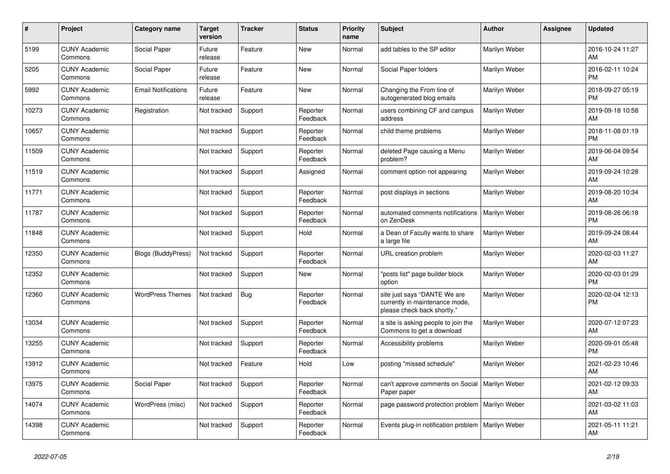| $\pmb{\sharp}$ | <b>Project</b>                  | <b>Category name</b>       | <b>Target</b><br>version | <b>Tracker</b> | <b>Status</b>        | <b>Priority</b><br>name | <b>Subject</b>                                                                                | <b>Author</b> | <b>Assignee</b> | <b>Updated</b>                |
|----------------|---------------------------------|----------------------------|--------------------------|----------------|----------------------|-------------------------|-----------------------------------------------------------------------------------------------|---------------|-----------------|-------------------------------|
| 5199           | <b>CUNY Academic</b><br>Commons | Social Paper               | Future<br>release        | Feature        | New                  | Normal                  | add tables to the SP editor                                                                   | Marilyn Weber |                 | 2016-10-24 11:27<br>AM        |
| 5205           | <b>CUNY Academic</b><br>Commons | Social Paper               | Future<br>release        | Feature        | <b>New</b>           | Normal                  | Social Paper folders                                                                          | Marilyn Weber |                 | 2016-02-11 10:24<br><b>PM</b> |
| 5992           | <b>CUNY Academic</b><br>Commons | <b>Email Notifications</b> | Future<br>release        | Feature        | New                  | Normal                  | Changing the From line of<br>autogenerated blog emails                                        | Marilyn Weber |                 | 2018-09-27 05:19<br><b>PM</b> |
| 10273          | <b>CUNY Academic</b><br>Commons | Registration               | Not tracked              | Support        | Reporter<br>Feedback | Normal                  | users combining CF and campus<br>address                                                      | Marilyn Weber |                 | 2019-09-18 10:58<br>AM        |
| 10657          | <b>CUNY Academic</b><br>Commons |                            | Not tracked              | Support        | Reporter<br>Feedback | Normal                  | child theme problems                                                                          | Marilyn Weber |                 | 2018-11-08 01:19<br><b>PM</b> |
| 11509          | <b>CUNY Academic</b><br>Commons |                            | Not tracked              | Support        | Reporter<br>Feedback | Normal                  | deleted Page causing a Menu<br>problem?                                                       | Marilyn Weber |                 | 2019-06-04 09:54<br>AM        |
| 11519          | <b>CUNY Academic</b><br>Commons |                            | Not tracked              | Support        | Assigned             | Normal                  | comment option not appearing                                                                  | Marilyn Weber |                 | 2019-09-24 10:28<br>AM        |
| 11771          | <b>CUNY Academic</b><br>Commons |                            | Not tracked              | Support        | Reporter<br>Feedback | Normal                  | post displays in sections                                                                     | Marilyn Weber |                 | 2019-08-20 10:34<br>AM        |
| 11787          | <b>CUNY Academic</b><br>Commons |                            | Not tracked              | Support        | Reporter<br>Feedback | Normal                  | automated comments notifications<br>on ZenDesk                                                | Marilyn Weber |                 | 2019-08-26 06:18<br><b>PM</b> |
| 11848          | <b>CUNY Academic</b><br>Commons |                            | Not tracked              | Support        | Hold                 | Normal                  | a Dean of Faculty wants to share<br>a large file                                              | Marilyn Weber |                 | 2019-09-24 08:44<br>AM        |
| 12350          | <b>CUNY Academic</b><br>Commons | <b>Blogs (BuddyPress)</b>  | Not tracked              | Support        | Reporter<br>Feedback | Normal                  | URL creation problem                                                                          | Marilyn Weber |                 | 2020-02-03 11:27<br>AM        |
| 12352          | <b>CUNY Academic</b><br>Commons |                            | Not tracked              | Support        | New                  | Normal                  | "posts list" page builder block<br>option                                                     | Marilyn Weber |                 | 2020-02-03 01:29<br><b>PM</b> |
| 12360          | <b>CUNY Academic</b><br>Commons | <b>WordPress Themes</b>    | Not tracked              | <b>Bug</b>     | Reporter<br>Feedback | Normal                  | site just says "DANTE We are<br>currently in maintenance mode,<br>please check back shortly." | Marilyn Weber |                 | 2020-02-04 12:13<br><b>PM</b> |
| 13034          | <b>CUNY Academic</b><br>Commons |                            | Not tracked              | Support        | Reporter<br>Feedback | Normal                  | a site is asking people to join the<br>Commons to get a download                              | Marilyn Weber |                 | 2020-07-12 07:23<br>AM        |
| 13255          | <b>CUNY Academic</b><br>Commons |                            | Not tracked              | Support        | Reporter<br>Feedback | Normal                  | Accessibility problems                                                                        | Marilyn Weber |                 | 2020-09-01 05:48<br><b>PM</b> |
| 13912          | <b>CUNY Academic</b><br>Commons |                            | Not tracked              | Feature        | Hold                 | Low                     | posting "missed schedule"                                                                     | Marilyn Weber |                 | 2021-02-23 10:46<br>AM        |
| 13975          | <b>CUNY Academic</b><br>Commons | Social Paper               | Not tracked              | Support        | Reporter<br>Feedback | Normal                  | can't approve comments on Social<br>Paper paper                                               | Marilyn Weber |                 | 2021-02-12 09:33<br>AM        |
| 14074          | <b>CUNY Academic</b><br>Commons | WordPress (misc)           | Not tracked              | Support        | Reporter<br>Feedback | Normal                  | page password protection problem                                                              | Marilyn Weber |                 | 2021-03-02 11:03<br>AM        |
| 14398          | <b>CUNY Academic</b><br>Commons |                            | Not tracked              | Support        | Reporter<br>Feedback | Normal                  | Events plug-in notification problem                                                           | Marilyn Weber |                 | 2021-05-11 11:21<br>AM        |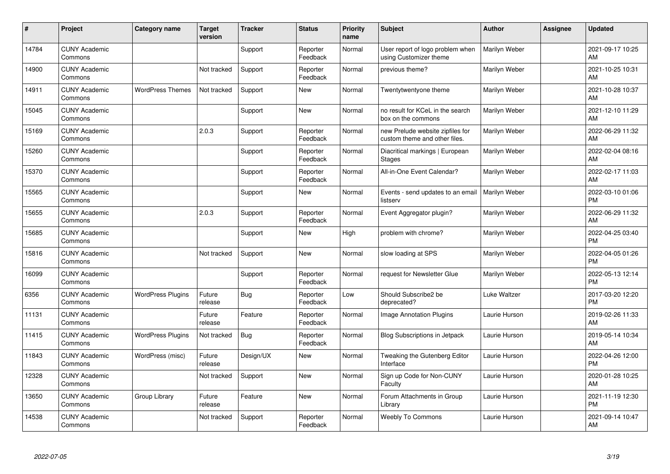| ∦     | Project                         | <b>Category name</b>     | <b>Target</b><br>version | <b>Tracker</b> | <b>Status</b>        | <b>Priority</b><br>name | <b>Subject</b>                                                    | <b>Author</b> | <b>Assignee</b> | <b>Updated</b>                |
|-------|---------------------------------|--------------------------|--------------------------|----------------|----------------------|-------------------------|-------------------------------------------------------------------|---------------|-----------------|-------------------------------|
| 14784 | <b>CUNY Academic</b><br>Commons |                          |                          | Support        | Reporter<br>Feedback | Normal                  | User report of logo problem when<br>using Customizer theme        | Marilyn Weber |                 | 2021-09-17 10:25<br>AM        |
| 14900 | <b>CUNY Academic</b><br>Commons |                          | Not tracked              | Support        | Reporter<br>Feedback | Normal                  | previous theme?                                                   | Marilyn Weber |                 | 2021-10-25 10:31<br>AM        |
| 14911 | <b>CUNY Academic</b><br>Commons | <b>WordPress Themes</b>  | Not tracked              | Support        | <b>New</b>           | Normal                  | Twentytwentyone theme                                             | Marilyn Weber |                 | 2021-10-28 10:37<br>AM        |
| 15045 | <b>CUNY Academic</b><br>Commons |                          |                          | Support        | <b>New</b>           | Normal                  | no result for KCeL in the search<br>box on the commons            | Marilyn Weber |                 | 2021-12-10 11:29<br>AM        |
| 15169 | <b>CUNY Academic</b><br>Commons |                          | 2.0.3                    | Support        | Reporter<br>Feedback | Normal                  | new Prelude website zipfiles for<br>custom theme and other files. | Marilyn Weber |                 | 2022-06-29 11:32<br>AM        |
| 15260 | <b>CUNY Academic</b><br>Commons |                          |                          | Support        | Reporter<br>Feedback | Normal                  | Diacritical markings   European<br><b>Stages</b>                  | Marilyn Weber |                 | 2022-02-04 08:16<br>AM        |
| 15370 | <b>CUNY Academic</b><br>Commons |                          |                          | Support        | Reporter<br>Feedback | Normal                  | All-in-One Event Calendar?                                        | Marilyn Weber |                 | 2022-02-17 11:03<br>AM        |
| 15565 | <b>CUNY Academic</b><br>Commons |                          |                          | Support        | New                  | Normal                  | Events - send updates to an email<br>listserv                     | Marilyn Weber |                 | 2022-03-10 01:06<br><b>PM</b> |
| 15655 | <b>CUNY Academic</b><br>Commons |                          | 2.0.3                    | Support        | Reporter<br>Feedback | Normal                  | Event Aggregator plugin?                                          | Marilyn Weber |                 | 2022-06-29 11:32<br>AM        |
| 15685 | <b>CUNY Academic</b><br>Commons |                          |                          | Support        | <b>New</b>           | High                    | problem with chrome?                                              | Marilyn Weber |                 | 2022-04-25 03:40<br><b>PM</b> |
| 15816 | <b>CUNY Academic</b><br>Commons |                          | Not tracked              | Support        | New                  | Normal                  | slow loading at SPS                                               | Marilyn Weber |                 | 2022-04-05 01:26<br><b>PM</b> |
| 16099 | <b>CUNY Academic</b><br>Commons |                          |                          | Support        | Reporter<br>Feedback | Normal                  | request for Newsletter Glue                                       | Marilyn Weber |                 | 2022-05-13 12:14<br><b>PM</b> |
| 6356  | <b>CUNY Academic</b><br>Commons | <b>WordPress Plugins</b> | Future<br>release        | Bug            | Reporter<br>Feedback | Low                     | Should Subscribe2 be<br>deprecated?                               | Luke Waltzer  |                 | 2017-03-20 12:20<br><b>PM</b> |
| 11131 | <b>CUNY Academic</b><br>Commons |                          | Future<br>release        | Feature        | Reporter<br>Feedback | Normal                  | <b>Image Annotation Plugins</b>                                   | Laurie Hurson |                 | 2019-02-26 11:33<br><b>AM</b> |
| 11415 | <b>CUNY Academic</b><br>Commons | <b>WordPress Plugins</b> | Not tracked              | <b>Bug</b>     | Reporter<br>Feedback | Normal                  | <b>Blog Subscriptions in Jetpack</b>                              | Laurie Hurson |                 | 2019-05-14 10:34<br>AM        |
| 11843 | <b>CUNY Academic</b><br>Commons | WordPress (misc)         | Future<br>release        | Design/UX      | New                  | Normal                  | Tweaking the Gutenberg Editor<br>Interface                        | Laurie Hurson |                 | 2022-04-26 12:00<br><b>PM</b> |
| 12328 | <b>CUNY Academic</b><br>Commons |                          | Not tracked              | Support        | <b>New</b>           | Normal                  | Sign up Code for Non-CUNY<br>Faculty                              | Laurie Hurson |                 | 2020-01-28 10:25<br>AM        |
| 13650 | <b>CUNY Academic</b><br>Commons | Group Library            | Future<br>release        | Feature        | <b>New</b>           | Normal                  | Forum Attachments in Group<br>Library                             | Laurie Hurson |                 | 2021-11-19 12:30<br><b>PM</b> |
| 14538 | <b>CUNY Academic</b><br>Commons |                          | Not tracked              | Support        | Reporter<br>Feedback | Normal                  | Weebly To Commons                                                 | Laurie Hurson |                 | 2021-09-14 10:47<br>AM        |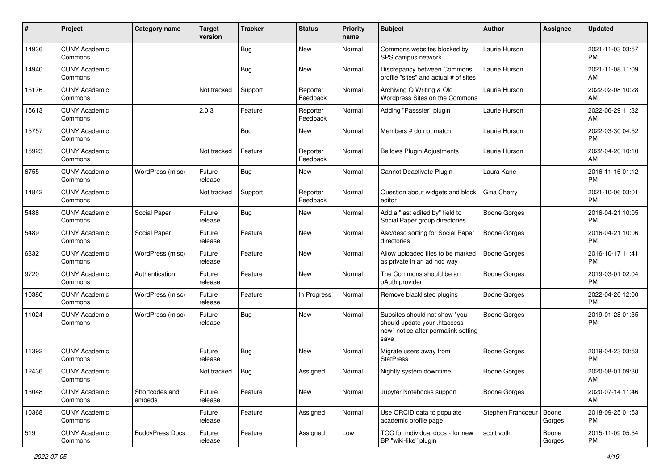| $\#$  | Project                         | <b>Category name</b>     | <b>Target</b><br>version | <b>Tracker</b> | <b>Status</b>        | <b>Priority</b><br>name | <b>Subject</b>                                                                                               | <b>Author</b>             | <b>Assignee</b> | <b>Updated</b>                |
|-------|---------------------------------|--------------------------|--------------------------|----------------|----------------------|-------------------------|--------------------------------------------------------------------------------------------------------------|---------------------------|-----------------|-------------------------------|
| 14936 | <b>CUNY Academic</b><br>Commons |                          |                          | <b>Bug</b>     | New                  | Normal                  | Commons websites blocked by<br>SPS campus network                                                            | Laurie Hurson             |                 | 2021-11-03 03:57<br><b>PM</b> |
| 14940 | <b>CUNY Academic</b><br>Commons |                          |                          | <b>Bug</b>     | New                  | Normal                  | Discrepancy between Commons<br>profile "sites" and actual # of sites                                         | Laurie Hurson             |                 | 2021-11-08 11:09<br>AM        |
| 15176 | <b>CUNY Academic</b><br>Commons |                          | Not tracked              | Support        | Reporter<br>Feedback | Normal                  | Archiving Q Writing & Old<br>Wordpress Sites on the Commons                                                  | Laurie Hurson             |                 | 2022-02-08 10:28<br>AM        |
| 15613 | <b>CUNY Academic</b><br>Commons |                          | 2.0.3                    | Feature        | Reporter<br>Feedback | Normal                  | Adding "Passster" plugin                                                                                     | Laurie Hurson             |                 | 2022-06-29 11:32<br>AM        |
| 15757 | <b>CUNY Academic</b><br>Commons |                          |                          | <b>Bug</b>     | New                  | Normal                  | Members # do not match                                                                                       | Laurie Hurson             |                 | 2022-03-30 04:52<br><b>PM</b> |
| 15923 | <b>CUNY Academic</b><br>Commons |                          | Not tracked              | Feature        | Reporter<br>Feedback | Normal                  | <b>Bellows Plugin Adjustments</b>                                                                            | Laurie Hurson             |                 | 2022-04-20 10:10<br>AM        |
| 6755  | <b>CUNY Academic</b><br>Commons | WordPress (misc)         | Future<br>release        | Bug            | New                  | Normal                  | Cannot Deactivate Plugin                                                                                     | Laura Kane                |                 | 2016-11-16 01:12<br><b>PM</b> |
| 14842 | <b>CUNY Academic</b><br>Commons |                          | Not tracked              | Support        | Reporter<br>Feedback | Normal                  | Question about widgets and block<br>editor                                                                   | Gina Cherry               |                 | 2021-10-06 03:01<br><b>PM</b> |
| 5488  | <b>CUNY Academic</b><br>Commons | Social Paper             | Future<br>release        | <b>Bug</b>     | New                  | Normal                  | Add a "last edited by" field to<br>Social Paper group directories                                            | Boone Gorges              |                 | 2016-04-21 10:05<br><b>PM</b> |
| 5489  | <b>CUNY Academic</b><br>Commons | Social Paper             | Future<br>release        | Feature        | New                  | Normal                  | Asc/desc sorting for Social Paper<br>directories                                                             | Boone Gorges              |                 | 2016-04-21 10:06<br><b>PM</b> |
| 6332  | <b>CUNY Academic</b><br>Commons | WordPress (misc)         | Future<br>release        | Feature        | New                  | Normal                  | Allow uploaded files to be marked<br>as private in an ad hoc way                                             | Boone Gorges              |                 | 2016-10-17 11:41<br><b>PM</b> |
| 9720  | <b>CUNY Academic</b><br>Commons | Authentication           | Future<br>release        | Feature        | New                  | Normal                  | The Commons should be an<br>oAuth provider                                                                   | Boone Gorges              |                 | 2019-03-01 02:04<br><b>PM</b> |
| 10380 | <b>CUNY Academic</b><br>Commons | WordPress (misc)         | Future<br>release        | Feature        | In Progress          | Normal                  | Remove blacklisted plugins                                                                                   | <b>Boone Gorges</b>       |                 | 2022-04-26 12:00<br><b>PM</b> |
| 11024 | <b>CUNY Academic</b><br>Commons | WordPress (misc)         | Future<br>release        | Bug            | <b>New</b>           | Normal                  | Subsites should not show "you<br>should update your .htaccess<br>now" notice after permalink setting<br>save | Boone Gorges              |                 | 2019-01-28 01:35<br><b>PM</b> |
| 11392 | <b>CUNY Academic</b><br>Commons |                          | Future<br>release        | Bug            | New                  | Normal                  | Migrate users away from<br><b>StatPress</b>                                                                  | <b>Boone Gorges</b>       |                 | 2019-04-23 03:53<br><b>PM</b> |
| 12436 | <b>CUNY Academic</b><br>Commons |                          | Not tracked              | Bug            | Assigned             | Normal                  | Nightly system downtime                                                                                      | <b>Boone Gorges</b>       |                 | 2020-08-01 09:30<br>AM        |
| 13048 | <b>CUNY Academic</b><br>Commons | Shortcodes and<br>embeds | Future<br>release        | Feature        | New                  | Normal                  | Jupyter Notebooks support                                                                                    | <b>Boone Gorges</b>       |                 | 2020-07-14 11:46<br>AM        |
| 10368 | <b>CUNY Academic</b><br>Commons |                          | Future<br>release        | Feature        | Assigned             | Normal                  | Use ORCID data to populate<br>academic profile page                                                          | Stephen Francoeur   Boone | Gorges          | 2018-09-25 01:53<br><b>PM</b> |
| 519   | <b>CUNY Academic</b><br>Commons | <b>BuddyPress Docs</b>   | Future<br>release        | Feature        | Assigned             | Low                     | TOC for individual docs - for new<br>BP "wiki-like" plugin                                                   | scott voth                | Boone<br>Gorges | 2015-11-09 05:54<br><b>PM</b> |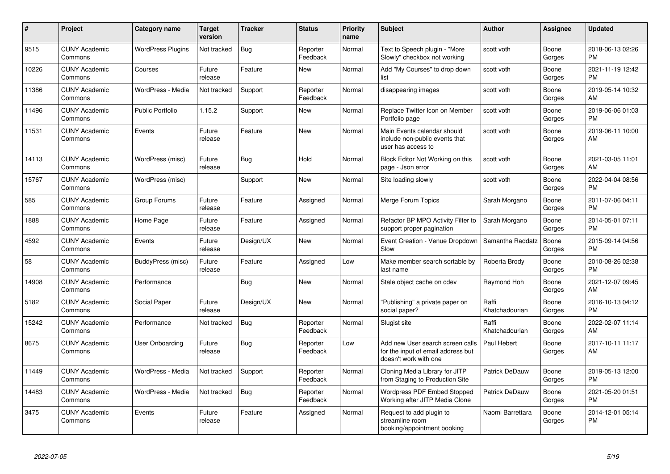| #     | <b>Project</b>                  | Category name            | <b>Target</b><br>version | <b>Tracker</b> | <b>Status</b>        | <b>Priority</b><br>name | <b>Subject</b>                                                                                  | <b>Author</b>           | Assignee        | <b>Updated</b>                |
|-------|---------------------------------|--------------------------|--------------------------|----------------|----------------------|-------------------------|-------------------------------------------------------------------------------------------------|-------------------------|-----------------|-------------------------------|
| 9515  | <b>CUNY Academic</b><br>Commons | <b>WordPress Plugins</b> | Not tracked              | Bug            | Reporter<br>Feedback | Normal                  | Text to Speech plugin - "More<br>Slowly" checkbox not working                                   | scott voth              | Boone<br>Gorges | 2018-06-13 02:26<br><b>PM</b> |
| 10226 | <b>CUNY Academic</b><br>Commons | Courses                  | Future<br>release        | Feature        | <b>New</b>           | Normal                  | Add "My Courses" to drop down<br>list                                                           | scott voth              | Boone<br>Gorges | 2021-11-19 12:42<br><b>PM</b> |
| 11386 | <b>CUNY Academic</b><br>Commons | WordPress - Media        | Not tracked              | Support        | Reporter<br>Feedback | Normal                  | disappearing images                                                                             | scott voth              | Boone<br>Gorges | 2019-05-14 10:32<br>AM        |
| 11496 | <b>CUNY Academic</b><br>Commons | <b>Public Portfolio</b>  | 1.15.2                   | Support        | <b>New</b>           | Normal                  | Replace Twitter Icon on Member<br>Portfolio page                                                | scott voth              | Boone<br>Gorges | 2019-06-06 01:03<br><b>PM</b> |
| 11531 | <b>CUNY Academic</b><br>Commons | Events                   | Future<br>release        | Feature        | <b>New</b>           | Normal                  | Main Events calendar should<br>include non-public events that<br>user has access to             | scott voth              | Boone<br>Gorges | 2019-06-11 10:00<br>AM        |
| 14113 | <b>CUNY Academic</b><br>Commons | WordPress (misc)         | Future<br>release        | <b>Bug</b>     | Hold                 | Normal                  | Block Editor Not Working on this<br>page - Json error                                           | scott voth              | Boone<br>Gorges | 2021-03-05 11:01<br><b>AM</b> |
| 15767 | <b>CUNY Academic</b><br>Commons | WordPress (misc)         |                          | Support        | <b>New</b>           | Normal                  | Site loading slowly                                                                             | scott voth              | Boone<br>Gorges | 2022-04-04 08:56<br><b>PM</b> |
| 585   | <b>CUNY Academic</b><br>Commons | Group Forums             | Future<br>release        | Feature        | Assigned             | Normal                  | Merge Forum Topics                                                                              | Sarah Morgano           | Boone<br>Gorges | 2011-07-06 04:11<br><b>PM</b> |
| 1888  | <b>CUNY Academic</b><br>Commons | Home Page                | Future<br>release        | Feature        | Assigned             | Normal                  | Refactor BP MPO Activity Filter to<br>support proper pagination                                 | Sarah Morgano           | Boone<br>Gorges | 2014-05-01 07:11<br><b>PM</b> |
| 4592  | <b>CUNY Academic</b><br>Commons | Events                   | Future<br>release        | Design/UX      | <b>New</b>           | Normal                  | Event Creation - Venue Dropdown<br>Slow                                                         | Samantha Raddatz        | Boone<br>Gorges | 2015-09-14 04:56<br>PM.       |
| 58    | <b>CUNY Academic</b><br>Commons | BuddyPress (misc)        | Future<br>release        | Feature        | Assigned             | Low                     | Make member search sortable by<br>last name                                                     | Roberta Brody           | Boone<br>Gorges | 2010-08-26 02:38<br><b>PM</b> |
| 14908 | <b>CUNY Academic</b><br>Commons | Performance              |                          | Bug            | New                  | Normal                  | Stale object cache on cdev                                                                      | Raymond Hoh             | Boone<br>Gorges | 2021-12-07 09:45<br><b>AM</b> |
| 5182  | <b>CUNY Academic</b><br>Commons | Social Paper             | Future<br>release        | Design/UX      | <b>New</b>           | Normal                  | "Publishing" a private paper on<br>social paper?                                                | Raffi<br>Khatchadourian | Boone<br>Gorges | 2016-10-13 04:12<br><b>PM</b> |
| 15242 | <b>CUNY Academic</b><br>Commons | Performance              | Not tracked              | Bug            | Reporter<br>Feedback | Normal                  | Slugist site                                                                                    | Raffi<br>Khatchadourian | Boone<br>Gorges | 2022-02-07 11:14<br>AM        |
| 8675  | <b>CUNY Academic</b><br>Commons | <b>User Onboarding</b>   | Future<br>release        | Bug            | Reporter<br>Feedback | Low                     | Add new User search screen calls<br>for the input of email address but<br>doesn't work with one | Paul Hebert             | Boone<br>Gorges | 2017-10-11 11:17<br>AM        |
| 11449 | <b>CUNY Academic</b><br>Commons | WordPress - Media        | Not tracked              | Support        | Reporter<br>Feedback | Normal                  | Cloning Media Library for JITP<br>from Staging to Production Site                               | Patrick DeDauw          | Boone<br>Gorges | 2019-05-13 12:00<br>PM.       |
| 14483 | <b>CUNY Academic</b><br>Commons | WordPress - Media        | Not tracked              | Bug            | Reporter<br>Feedback | Normal                  | Wordpress PDF Embed Stopped<br>Working after JITP Media Clone                                   | Patrick DeDauw          | Boone<br>Gorges | 2021-05-20 01:51<br><b>PM</b> |
| 3475  | <b>CUNY Academic</b><br>Commons | Events                   | Future<br>release        | Feature        | Assigned             | Normal                  | Request to add plugin to<br>streamline room<br>booking/appointment booking                      | Naomi Barrettara        | Boone<br>Gorges | 2014-12-01 05:14<br><b>PM</b> |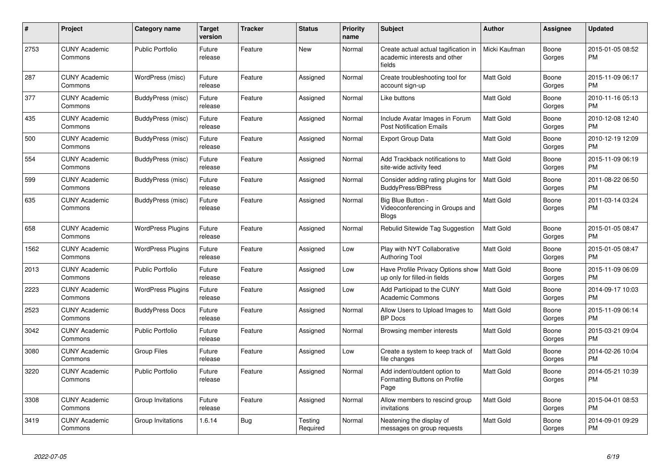| #    | Project                         | <b>Category name</b>     | Target<br>version | <b>Tracker</b> | <b>Status</b>       | <b>Priority</b><br>name | <b>Subject</b>                                                                 | <b>Author</b>    | <b>Assignee</b> | <b>Updated</b>                |
|------|---------------------------------|--------------------------|-------------------|----------------|---------------------|-------------------------|--------------------------------------------------------------------------------|------------------|-----------------|-------------------------------|
| 2753 | <b>CUNY Academic</b><br>Commons | <b>Public Portfolio</b>  | Future<br>release | Feature        | <b>New</b>          | Normal                  | Create actual actual tagification in<br>academic interests and other<br>fields | Micki Kaufman    | Boone<br>Gorges | 2015-01-05 08:52<br>PM        |
| 287  | <b>CUNY Academic</b><br>Commons | WordPress (misc)         | Future<br>release | Feature        | Assigned            | Normal                  | Create troubleshooting tool for<br>account sign-up                             | Matt Gold        | Boone<br>Gorges | 2015-11-09 06:17<br><b>PM</b> |
| 377  | <b>CUNY Academic</b><br>Commons | BuddyPress (misc)        | Future<br>release | Feature        | Assigned            | Normal                  | Like buttons                                                                   | Matt Gold        | Boone<br>Gorges | 2010-11-16 05:13<br><b>PM</b> |
| 435  | <b>CUNY Academic</b><br>Commons | BuddyPress (misc)        | Future<br>release | Feature        | Assigned            | Normal                  | Include Avatar Images in Forum<br><b>Post Notification Emails</b>              | Matt Gold        | Boone<br>Gorges | 2010-12-08 12:40<br><b>PM</b> |
| 500  | <b>CUNY Academic</b><br>Commons | BuddyPress (misc)        | Future<br>release | Feature        | Assigned            | Normal                  | <b>Export Group Data</b>                                                       | <b>Matt Gold</b> | Boone<br>Gorges | 2010-12-19 12:09<br><b>PM</b> |
| 554  | <b>CUNY Academic</b><br>Commons | BuddyPress (misc)        | Future<br>release | Feature        | Assigned            | Normal                  | Add Trackback notifications to<br>site-wide activity feed                      | <b>Matt Gold</b> | Boone<br>Gorges | 2015-11-09 06:19<br><b>PM</b> |
| 599  | <b>CUNY Academic</b><br>Commons | BuddyPress (misc)        | Future<br>release | Feature        | Assigned            | Normal                  | Consider adding rating plugins for<br><b>BuddyPress/BBPress</b>                | <b>Matt Gold</b> | Boone<br>Gorges | 2011-08-22 06:50<br><b>PM</b> |
| 635  | <b>CUNY Academic</b><br>Commons | BuddyPress (misc)        | Future<br>release | Feature        | Assigned            | Normal                  | Big Blue Button -<br>Videoconferencing in Groups and<br><b>Blogs</b>           | Matt Gold        | Boone<br>Gorges | 2011-03-14 03:24<br><b>PM</b> |
| 658  | <b>CUNY Academic</b><br>Commons | <b>WordPress Plugins</b> | Future<br>release | Feature        | Assigned            | Normal                  | Rebulid Sitewide Tag Suggestion                                                | <b>Matt Gold</b> | Boone<br>Gorges | 2015-01-05 08:47<br><b>PM</b> |
| 1562 | <b>CUNY Academic</b><br>Commons | <b>WordPress Plugins</b> | Future<br>release | Feature        | Assigned            | Low                     | Play with NYT Collaborative<br><b>Authoring Tool</b>                           | <b>Matt Gold</b> | Boone<br>Gorges | 2015-01-05 08:47<br><b>PM</b> |
| 2013 | <b>CUNY Academic</b><br>Commons | <b>Public Portfolio</b>  | Future<br>release | Feature        | Assigned            | Low                     | Have Profile Privacy Options show<br>up only for filled-in fields              | Matt Gold        | Boone<br>Gorges | 2015-11-09 06:09<br><b>PM</b> |
| 2223 | <b>CUNY Academic</b><br>Commons | <b>WordPress Plugins</b> | Future<br>release | Feature        | Assigned            | Low                     | Add Participad to the CUNY<br><b>Academic Commons</b>                          | Matt Gold        | Boone<br>Gorges | 2014-09-17 10:03<br>PM        |
| 2523 | <b>CUNY Academic</b><br>Commons | <b>BuddyPress Docs</b>   | Future<br>release | Feature        | Assigned            | Normal                  | Allow Users to Upload Images to<br><b>BP</b> Docs                              | Matt Gold        | Boone<br>Gorges | 2015-11-09 06:14<br><b>PM</b> |
| 3042 | <b>CUNY Academic</b><br>Commons | Public Portfolio         | Future<br>release | Feature        | Assigned            | Normal                  | Browsing member interests                                                      | <b>Matt Gold</b> | Boone<br>Gorges | 2015-03-21 09:04<br><b>PM</b> |
| 3080 | <b>CUNY Academic</b><br>Commons | <b>Group Files</b>       | Future<br>release | Feature        | Assigned            | Low                     | Create a system to keep track of<br>file changes                               | <b>Matt Gold</b> | Boone<br>Gorges | 2014-02-26 10:04<br><b>PM</b> |
| 3220 | <b>CUNY Academic</b><br>Commons | <b>Public Portfolio</b>  | Future<br>release | Feature        | Assigned            | Normal                  | Add indent/outdent option to<br>Formatting Buttons on Profile<br>Page          | <b>Matt Gold</b> | Boone<br>Gorges | 2014-05-21 10:39<br>PM        |
| 3308 | <b>CUNY Academic</b><br>Commons | Group Invitations        | Future<br>release | Feature        | Assigned            | Normal                  | Allow members to rescind group<br>invitations                                  | <b>Matt Gold</b> | Boone<br>Gorges | 2015-04-01 08:53<br><b>PM</b> |
| 3419 | <b>CUNY Academic</b><br>Commons | Group Invitations        | 1.6.14            | Bug            | Testing<br>Required | Normal                  | Neatening the display of<br>messages on group requests                         | Matt Gold        | Boone<br>Gorges | 2014-09-01 09:29<br><b>PM</b> |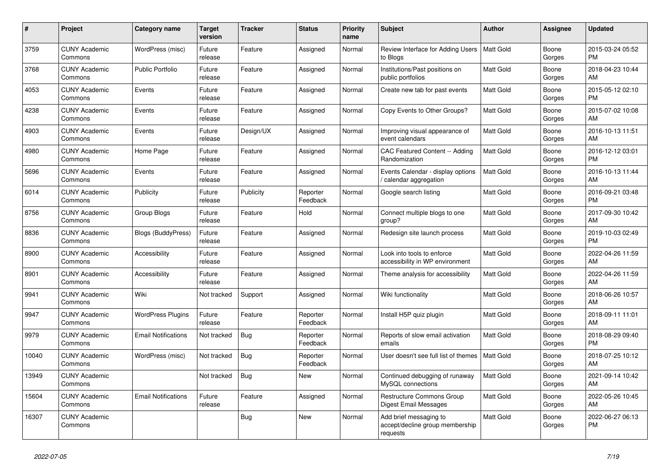| #     | Project                         | <b>Category name</b>       | <b>Target</b><br>version | <b>Tracker</b> | <b>Status</b>        | <b>Priority</b><br>name | <b>Subject</b>                                                        | <b>Author</b>    | Assignee        | <b>Updated</b>                |
|-------|---------------------------------|----------------------------|--------------------------|----------------|----------------------|-------------------------|-----------------------------------------------------------------------|------------------|-----------------|-------------------------------|
| 3759  | <b>CUNY Academic</b><br>Commons | WordPress (misc)           | Future<br>release        | Feature        | Assigned             | Normal                  | Review Interface for Adding Users<br>to Blogs                         | Matt Gold        | Boone<br>Gorges | 2015-03-24 05:52<br><b>PM</b> |
| 3768  | <b>CUNY Academic</b><br>Commons | <b>Public Portfolio</b>    | Future<br>release        | Feature        | Assigned             | Normal                  | Institutions/Past positions on<br>public portfolios                   | <b>Matt Gold</b> | Boone<br>Gorges | 2018-04-23 10:44<br>AM        |
| 4053  | <b>CUNY Academic</b><br>Commons | Events                     | Future<br>release        | Feature        | Assigned             | Normal                  | Create new tab for past events                                        | <b>Matt Gold</b> | Boone<br>Gorges | 2015-05-12 02:10<br><b>PM</b> |
| 4238  | <b>CUNY Academic</b><br>Commons | Events                     | Future<br>release        | Feature        | Assigned             | Normal                  | Copy Events to Other Groups?                                          | <b>Matt Gold</b> | Boone<br>Gorges | 2015-07-02 10:08<br>AM        |
| 4903  | <b>CUNY Academic</b><br>Commons | Events                     | Future<br>release        | Design/UX      | Assigned             | Normal                  | Improving visual appearance of<br>event calendars                     | <b>Matt Gold</b> | Boone<br>Gorges | 2016-10-13 11:51<br>AM        |
| 4980  | <b>CUNY Academic</b><br>Commons | Home Page                  | Future<br>release        | Feature        | Assigned             | Normal                  | CAC Featured Content -- Adding<br>Randomization                       | <b>Matt Gold</b> | Boone<br>Gorges | 2016-12-12 03:01<br><b>PM</b> |
| 5696  | <b>CUNY Academic</b><br>Commons | Events                     | Future<br>release        | Feature        | Assigned             | Normal                  | Events Calendar - display options<br>/ calendar aggregation           | <b>Matt Gold</b> | Boone<br>Gorges | 2016-10-13 11:44<br>AM        |
| 6014  | <b>CUNY Academic</b><br>Commons | Publicity                  | Future<br>release        | Publicity      | Reporter<br>Feedback | Normal                  | Google search listing                                                 | <b>Matt Gold</b> | Boone<br>Gorges | 2016-09-21 03:48<br><b>PM</b> |
| 8756  | <b>CUNY Academic</b><br>Commons | Group Blogs                | Future<br>release        | Feature        | Hold                 | Normal                  | Connect multiple blogs to one<br>group?                               | <b>Matt Gold</b> | Boone<br>Gorges | 2017-09-30 10:42<br>AM        |
| 8836  | <b>CUNY Academic</b><br>Commons | Blogs (BuddyPress)         | Future<br>release        | Feature        | Assigned             | Normal                  | Redesign site launch process                                          | <b>Matt Gold</b> | Boone<br>Gorges | 2019-10-03 02:49<br><b>PM</b> |
| 8900  | <b>CUNY Academic</b><br>Commons | Accessibility              | Future<br>release        | Feature        | Assigned             | Normal                  | Look into tools to enforce<br>accessibility in WP environment         | <b>Matt Gold</b> | Boone<br>Gorges | 2022-04-26 11:59<br>AM        |
| 8901  | <b>CUNY Academic</b><br>Commons | Accessibility              | Future<br>release        | Feature        | Assigned             | Normal                  | Theme analysis for accessibility                                      | <b>Matt Gold</b> | Boone<br>Gorges | 2022-04-26 11:59<br>AM        |
| 9941  | <b>CUNY Academic</b><br>Commons | Wiki                       | Not tracked              | Support        | Assigned             | Normal                  | Wiki functionality                                                    | <b>Matt Gold</b> | Boone<br>Gorges | 2018-06-26 10:57<br>AM        |
| 9947  | <b>CUNY Academic</b><br>Commons | <b>WordPress Plugins</b>   | Future<br>release        | Feature        | Reporter<br>Feedback | Normal                  | Install H5P quiz plugin                                               | <b>Matt Gold</b> | Boone<br>Gorges | 2018-09-11 11:01<br>AM        |
| 9979  | <b>CUNY Academic</b><br>Commons | <b>Email Notifications</b> | Not tracked              | <b>Bug</b>     | Reporter<br>Feedback | Normal                  | Reports of slow email activation<br>emails                            | <b>Matt Gold</b> | Boone<br>Gorges | 2018-08-29 09:40<br><b>PM</b> |
| 10040 | <b>CUNY Academic</b><br>Commons | WordPress (misc)           | Not tracked              | <b>Bug</b>     | Reporter<br>Feedback | Normal                  | User doesn't see full list of themes                                  | Matt Gold        | Boone<br>Gorges | 2018-07-25 10:12<br>AM        |
| 13949 | <b>CUNY Academic</b><br>Commons |                            | Not tracked              | Bug            | New                  | Normal                  | Continued debugging of runaway<br>MySQL connections                   | <b>Matt Gold</b> | Boone<br>Gorges | 2021-09-14 10:42<br>AM        |
| 15604 | <b>CUNY Academic</b><br>Commons | <b>Email Notifications</b> | Future<br>release        | Feature        | Assigned             | Normal                  | Restructure Commons Group<br><b>Digest Email Messages</b>             | <b>Matt Gold</b> | Boone<br>Gorges | 2022-05-26 10:45<br>AM        |
| 16307 | <b>CUNY Academic</b><br>Commons |                            |                          | <b>Bug</b>     | <b>New</b>           | Normal                  | Add brief messaging to<br>accept/decline group membership<br>requests | Matt Gold        | Boone<br>Gorges | 2022-06-27 06:13<br><b>PM</b> |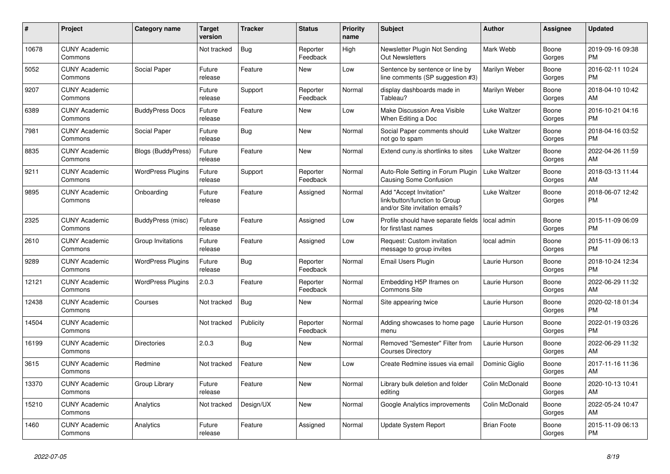| #     | <b>Project</b>                  | <b>Category name</b>     | <b>Target</b><br>version | <b>Tracker</b> | <b>Status</b>        | <b>Priority</b><br>name | <b>Subject</b>                                                                             | <b>Author</b>      | <b>Assignee</b> | <b>Updated</b>                |
|-------|---------------------------------|--------------------------|--------------------------|----------------|----------------------|-------------------------|--------------------------------------------------------------------------------------------|--------------------|-----------------|-------------------------------|
| 10678 | <b>CUNY Academic</b><br>Commons |                          | Not tracked              | Bug            | Reporter<br>Feedback | High                    | Newsletter Plugin Not Sending<br><b>Out Newsletters</b>                                    | Mark Webb          | Boone<br>Gorges | 2019-09-16 09:38<br><b>PM</b> |
| 5052  | <b>CUNY Academic</b><br>Commons | Social Paper             | Future<br>release        | Feature        | New                  | Low                     | Sentence by sentence or line by<br>line comments (SP suggestion #3)                        | Marilyn Weber      | Boone<br>Gorges | 2016-02-11 10:24<br><b>PM</b> |
| 9207  | <b>CUNY Academic</b><br>Commons |                          | Future<br>release        | Support        | Reporter<br>Feedback | Normal                  | display dashboards made in<br>Tableau?                                                     | Marilyn Weber      | Boone<br>Gorges | 2018-04-10 10:42<br>AM        |
| 6389  | <b>CUNY Academic</b><br>Commons | <b>BuddyPress Docs</b>   | Future<br>release        | Feature        | <b>New</b>           | Low                     | Make Discussion Area Visible<br>When Editing a Doc                                         | Luke Waltzer       | Boone<br>Gorges | 2016-10-21 04:16<br><b>PM</b> |
| 7981  | <b>CUNY Academic</b><br>Commons | Social Paper             | Future<br>release        | Bug            | New                  | Normal                  | Social Paper comments should<br>not go to spam                                             | Luke Waltzer       | Boone<br>Gorges | 2018-04-16 03:52<br><b>PM</b> |
| 8835  | <b>CUNY Academic</b><br>Commons | Blogs (BuddyPress)       | Future<br>release        | Feature        | New                  | Normal                  | Extend cuny is shortlinks to sites                                                         | Luke Waltzer       | Boone<br>Gorges | 2022-04-26 11:59<br>AM        |
| 9211  | <b>CUNY Academic</b><br>Commons | <b>WordPress Plugins</b> | Future<br>release        | Support        | Reporter<br>Feedback | Normal                  | Auto-Role Setting in Forum Plugin<br><b>Causing Some Confusion</b>                         | Luke Waltzer       | Boone<br>Gorges | 2018-03-13 11:44<br>AM        |
| 9895  | <b>CUNY Academic</b><br>Commons | Onboarding               | Future<br>release        | Feature        | Assigned             | Normal                  | Add "Accept Invitation"<br>link/button/function to Group<br>and/or Site invitation emails? | Luke Waltzer       | Boone<br>Gorges | 2018-06-07 12:42<br>PM        |
| 2325  | <b>CUNY Academic</b><br>Commons | BuddyPress (misc)        | Future<br>release        | Feature        | Assigned             | Low                     | Profile should have separate fields<br>for first/last names                                | local admin        | Boone<br>Gorges | 2015-11-09 06:09<br>PM        |
| 2610  | <b>CUNY Academic</b><br>Commons | Group Invitations        | Future<br>release        | Feature        | Assigned             | Low                     | Request: Custom invitation<br>message to group invites                                     | local admin        | Boone<br>Gorges | 2015-11-09 06:13<br><b>PM</b> |
| 9289  | <b>CUNY Academic</b><br>Commons | <b>WordPress Plugins</b> | Future<br>release        | Bug            | Reporter<br>Feedback | Normal                  | Email Users Plugin                                                                         | Laurie Hurson      | Boone<br>Gorges | 2018-10-24 12:34<br><b>PM</b> |
| 12121 | <b>CUNY Academic</b><br>Commons | <b>WordPress Plugins</b> | 2.0.3                    | Feature        | Reporter<br>Feedback | Normal                  | Embedding H5P Iframes on<br><b>Commons Site</b>                                            | Laurie Hurson      | Boone<br>Gorges | 2022-06-29 11:32<br>AM        |
| 12438 | <b>CUNY Academic</b><br>Commons | Courses                  | Not tracked              | <b>Bug</b>     | <b>New</b>           | Normal                  | Site appearing twice                                                                       | Laurie Hurson      | Boone<br>Gorges | 2020-02-18 01:34<br><b>PM</b> |
| 14504 | <b>CUNY Academic</b><br>Commons |                          | Not tracked              | Publicity      | Reporter<br>Feedback | Normal                  | Adding showcases to home page<br>menu                                                      | Laurie Hurson      | Boone<br>Gorges | 2022-01-19 03:26<br><b>PM</b> |
| 16199 | <b>CUNY Academic</b><br>Commons | <b>Directories</b>       | 2.0.3                    | Bug            | New                  | Normal                  | Removed "Semester" Filter from<br>Courses Directory                                        | Laurie Hurson      | Boone<br>Gorges | 2022-06-29 11:32<br>AM        |
| 3615  | <b>CUNY Academic</b><br>Commons | Redmine                  | Not tracked              | Feature        | New                  | Low                     | Create Redmine issues via email                                                            | Dominic Giglio     | Boone<br>Gorges | 2017-11-16 11:36<br>AM        |
| 13370 | <b>CUNY Academic</b><br>Commons | Group Library            | Future<br>release        | Feature        | <b>New</b>           | Normal                  | Library bulk deletion and folder<br>editina                                                | Colin McDonald     | Boone<br>Gorges | 2020-10-13 10:41<br>AM        |
| 15210 | <b>CUNY Academic</b><br>Commons | Analytics                | Not tracked              | Design/UX      | New                  | Normal                  | Google Analytics improvements                                                              | Colin McDonald     | Boone<br>Gorges | 2022-05-24 10:47<br>AM        |
| 1460  | <b>CUNY Academic</b><br>Commons | Analytics                | Future<br>release        | Feature        | Assigned             | Normal                  | <b>Update System Report</b>                                                                | <b>Brian Foote</b> | Boone<br>Gorges | 2015-11-09 06:13<br>PM        |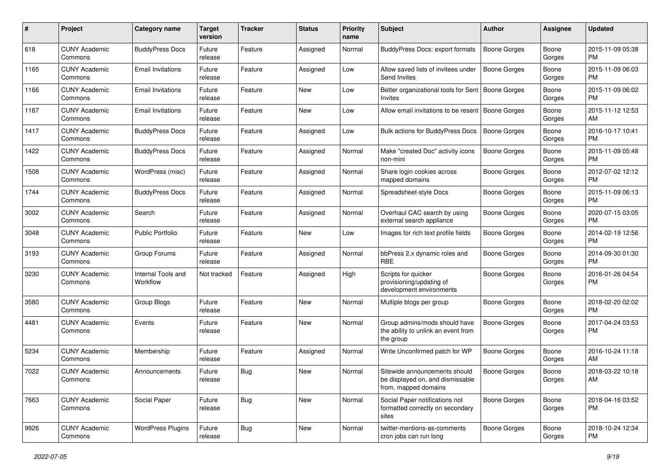| #    | Project                         | <b>Category name</b>           | <b>Target</b><br>version | <b>Tracker</b> | <b>Status</b> | <b>Priority</b><br>name | <b>Subject</b>                                                                            | <b>Author</b>       | <b>Assignee</b> | <b>Updated</b>                |
|------|---------------------------------|--------------------------------|--------------------------|----------------|---------------|-------------------------|-------------------------------------------------------------------------------------------|---------------------|-----------------|-------------------------------|
| 618  | <b>CUNY Academic</b><br>Commons | <b>BuddyPress Docs</b>         | Future<br>release        | Feature        | Assigned      | Normal                  | <b>BuddyPress Docs: export formats</b>                                                    | <b>Boone Gorges</b> | Boone<br>Gorges | 2015-11-09 05:38<br>PM        |
| 1165 | <b>CUNY Academic</b><br>Commons | <b>Email Invitations</b>       | Future<br>release        | Feature        | Assigned      | Low                     | Allow saved lists of invitees under<br>Send Invites                                       | <b>Boone Gorges</b> | Boone<br>Gorges | 2015-11-09 06:03<br><b>PM</b> |
| 1166 | <b>CUNY Academic</b><br>Commons | <b>Email Invitations</b>       | Future<br>release        | Feature        | New           | Low                     | Better organizational tools for Sent<br>Invites                                           | Boone Gorges        | Boone<br>Gorges | 2015-11-09 06:02<br><b>PM</b> |
| 1167 | <b>CUNY Academic</b><br>Commons | <b>Email Invitations</b>       | Future<br>release        | Feature        | New           | Low                     | Allow email invitations to be resent                                                      | Boone Gorges        | Boone<br>Gorges | 2015-11-12 12:53<br>AM.       |
| 1417 | <b>CUNY Academic</b><br>Commons | <b>BuddyPress Docs</b>         | Future<br>release        | Feature        | Assigned      | Low                     | Bulk actions for BuddyPress Docs                                                          | <b>Boone Gorges</b> | Boone<br>Gorges | 2016-10-17 10:41<br><b>PM</b> |
| 1422 | <b>CUNY Academic</b><br>Commons | <b>BuddyPress Docs</b>         | Future<br>release        | Feature        | Assigned      | Normal                  | Make "created Doc" activity icons<br>non-mini                                             | <b>Boone Gorges</b> | Boone<br>Gorges | 2015-11-09 05:48<br><b>PM</b> |
| 1508 | <b>CUNY Academic</b><br>Commons | WordPress (misc)               | Future<br>release        | Feature        | Assigned      | Normal                  | Share login cookies across<br>mapped domains                                              | Boone Gorges        | Boone<br>Gorges | 2012-07-02 12:12<br><b>PM</b> |
| 1744 | <b>CUNY Academic</b><br>Commons | <b>BuddyPress Docs</b>         | Future<br>release        | Feature        | Assigned      | Normal                  | Spreadsheet-style Docs                                                                    | <b>Boone Gorges</b> | Boone<br>Gorges | 2015-11-09 06:13<br>PM        |
| 3002 | <b>CUNY Academic</b><br>Commons | Search                         | Future<br>release        | Feature        | Assigned      | Normal                  | Overhaul CAC search by using<br>external search appliance                                 | <b>Boone Gorges</b> | Boone<br>Gorges | 2020-07-15 03:05<br><b>PM</b> |
| 3048 | <b>CUNY Academic</b><br>Commons | <b>Public Portfolio</b>        | Future<br>release        | Feature        | New           | Low                     | Images for rich text profile fields                                                       | Boone Gorges        | Boone<br>Gorges | 2014-02-19 12:56<br>PM.       |
| 3193 | <b>CUNY Academic</b><br>Commons | Group Forums                   | Future<br>release        | Feature        | Assigned      | Normal                  | bbPress 2.x dynamic roles and<br><b>RBE</b>                                               | Boone Gorges        | Boone<br>Gorges | 2014-09-30 01:30<br><b>PM</b> |
| 3230 | <b>CUNY Academic</b><br>Commons | Internal Tools and<br>Workflow | Not tracked              | Feature        | Assigned      | High                    | Scripts for quicker<br>provisioning/updating of<br>development environments               | Boone Gorges        | Boone<br>Gorges | 2016-01-26 04:54<br><b>PM</b> |
| 3580 | <b>CUNY Academic</b><br>Commons | Group Blogs                    | Future<br>release        | Feature        | New           | Normal                  | Multiple blogs per group                                                                  | Boone Gorges        | Boone<br>Gorges | 2018-02-20 02:02<br>PM.       |
| 4481 | <b>CUNY Academic</b><br>Commons | Events                         | Future<br>release        | Feature        | New           | Normal                  | Group admins/mods should have<br>the ability to unlink an event from<br>the group         | <b>Boone Gorges</b> | Boone<br>Gorges | 2017-04-24 03:53<br><b>PM</b> |
| 5234 | <b>CUNY Academic</b><br>Commons | Membership                     | Future<br>release        | Feature        | Assigned      | Normal                  | Write Unconfirmed patch for WP                                                            | Boone Gorges        | Boone<br>Gorges | 2016-10-24 11:18<br>AM        |
| 7022 | <b>CUNY Academic</b><br>Commons | Announcements                  | Future<br>release        | <b>Bug</b>     | New           | Normal                  | Sitewide announcements should<br>be displayed on, and dismissable<br>from, mapped domains | <b>Boone Gorges</b> | Boone<br>Gorges | 2018-03-22 10:18<br>AM        |
| 7663 | <b>CUNY Academic</b><br>Commons | Social Paper                   | Future<br>release        | <b>Bug</b>     | New           | Normal                  | Social Paper notifications not<br>formatted correctly on secondary<br>sites               | Boone Gorges        | Boone<br>Gorges | 2018-04-16 03:52<br>PM.       |
| 9926 | <b>CUNY Academic</b><br>Commons | <b>WordPress Plugins</b>       | Future<br>release        | Bug            | New           | Normal                  | twitter-mentions-as-comments<br>cron jobs can run long                                    | Boone Gorges        | Boone<br>Gorges | 2018-10-24 12:34<br><b>PM</b> |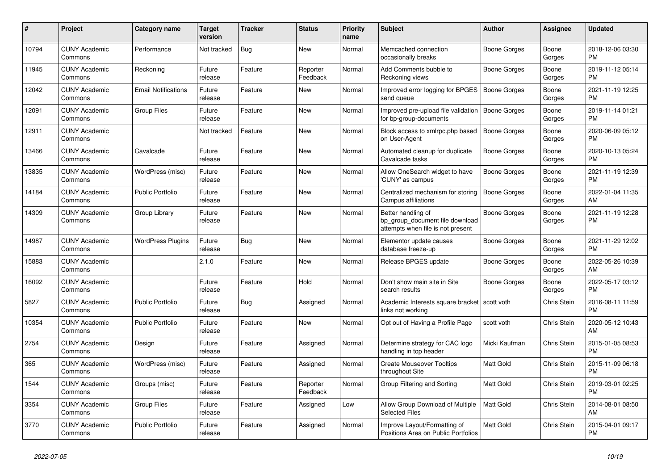| #     | Project                         | <b>Category name</b>       | Target<br>version | <b>Tracker</b> | <b>Status</b>        | Priority<br>name | <b>Subject</b>                                                                             | <b>Author</b>       | <b>Assignee</b> | <b>Updated</b>                |
|-------|---------------------------------|----------------------------|-------------------|----------------|----------------------|------------------|--------------------------------------------------------------------------------------------|---------------------|-----------------|-------------------------------|
| 10794 | <b>CUNY Academic</b><br>Commons | Performance                | Not tracked       | Bug            | New                  | Normal           | Memcached connection<br>occasionally breaks                                                | Boone Gorges        | Boone<br>Gorges | 2018-12-06 03:30<br>PM.       |
| 11945 | <b>CUNY Academic</b><br>Commons | Reckoning                  | Future<br>release | Feature        | Reporter<br>Feedback | Normal           | Add Comments bubble to<br>Reckoning views                                                  | Boone Gorges        | Boone<br>Gorges | 2019-11-12 05:14<br><b>PM</b> |
| 12042 | <b>CUNY Academic</b><br>Commons | <b>Email Notifications</b> | Future<br>release | Feature        | <b>New</b>           | Normal           | Improved error logging for BPGES<br>send queue                                             | <b>Boone Gorges</b> | Boone<br>Gorges | 2021-11-19 12:25<br><b>PM</b> |
| 12091 | <b>CUNY Academic</b><br>Commons | <b>Group Files</b>         | Future<br>release | Feature        | <b>New</b>           | Normal           | Improved pre-upload file validation<br>for bp-group-documents                              | <b>Boone Gorges</b> | Boone<br>Gorges | 2019-11-14 01:21<br><b>PM</b> |
| 12911 | <b>CUNY Academic</b><br>Commons |                            | Not tracked       | Feature        | New                  | Normal           | Block access to xmlrpc.php based<br>on User-Agent                                          | <b>Boone Gorges</b> | Boone<br>Gorges | 2020-06-09 05:12<br>PM.       |
| 13466 | <b>CUNY Academic</b><br>Commons | Cavalcade                  | Future<br>release | Feature        | New                  | Normal           | Automated cleanup for duplicate<br>Cavalcade tasks                                         | Boone Gorges        | Boone<br>Gorges | 2020-10-13 05:24<br><b>PM</b> |
| 13835 | <b>CUNY Academic</b><br>Commons | WordPress (misc)           | Future<br>release | Feature        | <b>New</b>           | Normal           | Allow OneSearch widget to have<br>'CUNY' as campus                                         | Boone Gorges        | Boone<br>Gorges | 2021-11-19 12:39<br><b>PM</b> |
| 14184 | <b>CUNY Academic</b><br>Commons | <b>Public Portfolio</b>    | Future<br>release | Feature        | <b>New</b>           | Normal           | Centralized mechanism for storing<br>Campus affiliations                                   | Boone Gorges        | Boone<br>Gorges | 2022-01-04 11:35<br>AM        |
| 14309 | <b>CUNY Academic</b><br>Commons | Group Library              | Future<br>release | Feature        | New                  | Normal           | Better handling of<br>bp group document file download<br>attempts when file is not present | Boone Gorges        | Boone<br>Gorges | 2021-11-19 12:28<br><b>PM</b> |
| 14987 | <b>CUNY Academic</b><br>Commons | <b>WordPress Plugins</b>   | Future<br>release | <b>Bug</b>     | <b>New</b>           | Normal           | Elementor update causes<br>database freeze-up                                              | Boone Gorges        | Boone<br>Gorges | 2021-11-29 12:02<br><b>PM</b> |
| 15883 | <b>CUNY Academic</b><br>Commons |                            | 2.1.0             | Feature        | New                  | Normal           | Release BPGES update                                                                       | Boone Gorges        | Boone<br>Gorges | 2022-05-26 10:39<br>AM        |
| 16092 | <b>CUNY Academic</b><br>Commons |                            | Future<br>release | Feature        | Hold                 | Normal           | Don't show main site in Site<br>search results                                             | Boone Gorges        | Boone<br>Gorges | 2022-05-17 03:12<br>PM.       |
| 5827  | <b>CUNY Academic</b><br>Commons | <b>Public Portfolio</b>    | Future<br>release | Bug            | Assigned             | Normal           | Academic Interests square bracket<br>links not working                                     | scott voth          | Chris Stein     | 2016-08-11 11:59<br><b>PM</b> |
| 10354 | <b>CUNY Academic</b><br>Commons | <b>Public Portfolio</b>    | Future<br>release | Feature        | New                  | Normal           | Opt out of Having a Profile Page                                                           | scott voth          | Chris Stein     | 2020-05-12 10:43<br>AM        |
| 2754  | <b>CUNY Academic</b><br>Commons | Design                     | Future<br>release | Feature        | Assigned             | Normal           | Determine strategy for CAC logo<br>handling in top header                                  | Micki Kaufman       | Chris Stein     | 2015-01-05 08:53<br>PM.       |
| 365   | <b>CUNY Academic</b><br>Commons | WordPress (misc)           | Future<br>release | Feature        | Assigned             | Normal           | <b>Create Mouseover Tooltips</b><br>throughout Site                                        | Matt Gold           | Chris Stein     | 2015-11-09 06:18<br><b>PM</b> |
| 1544  | <b>CUNY Academic</b><br>Commons | Groups (misc)              | Future<br>release | Feature        | Reporter<br>Feedback | Normal           | Group Filtering and Sorting                                                                | <b>Matt Gold</b>    | Chris Stein     | 2019-03-01 02:25<br><b>PM</b> |
| 3354  | <b>CUNY Academic</b><br>Commons | <b>Group Files</b>         | Future<br>release | Feature        | Assigned             | Low              | Allow Group Download of Multiple<br><b>Selected Files</b>                                  | <b>Matt Gold</b>    | Chris Stein     | 2014-08-01 08:50<br>AM        |
| 3770  | <b>CUNY Academic</b><br>Commons | Public Portfolio           | Future<br>release | Feature        | Assigned             | Normal           | Improve Layout/Formatting of<br>Positions Area on Public Portfolios                        | Matt Gold           | Chris Stein     | 2015-04-01 09:17<br><b>PM</b> |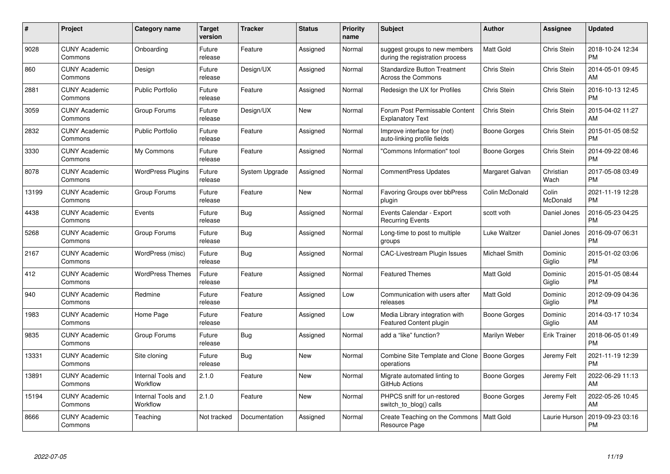| #     | Project                         | <b>Category name</b>           | <b>Target</b><br>version | <b>Tracker</b> | <b>Status</b> | <b>Priority</b><br>name | <b>Subject</b>                                                   | <b>Author</b>    | Assignee            | <b>Updated</b>                |
|-------|---------------------------------|--------------------------------|--------------------------|----------------|---------------|-------------------------|------------------------------------------------------------------|------------------|---------------------|-------------------------------|
| 9028  | <b>CUNY Academic</b><br>Commons | Onboarding                     | Future<br>release        | Feature        | Assigned      | Normal                  | suggest groups to new members<br>during the registration process | <b>Matt Gold</b> | Chris Stein         | 2018-10-24 12:34<br><b>PM</b> |
| 860   | <b>CUNY Academic</b><br>Commons | Design                         | Future<br>release        | Design/UX      | Assigned      | Normal                  | <b>Standardize Button Treatment</b><br><b>Across the Commons</b> | Chris Stein      | Chris Stein         | 2014-05-01 09:45<br>AM        |
| 2881  | <b>CUNY Academic</b><br>Commons | <b>Public Portfolio</b>        | Future<br>release        | Feature        | Assigned      | Normal                  | Redesign the UX for Profiles                                     | Chris Stein      | Chris Stein         | 2016-10-13 12:45<br><b>PM</b> |
| 3059  | <b>CUNY Academic</b><br>Commons | Group Forums                   | Future<br>release        | Design/UX      | New           | Normal                  | Forum Post Permissable Content<br><b>Explanatory Text</b>        | Chris Stein      | Chris Stein         | 2015-04-02 11:27<br>AM        |
| 2832  | <b>CUNY Academic</b><br>Commons | <b>Public Portfolio</b>        | Future<br>release        | Feature        | Assigned      | Normal                  | Improve interface for (not)<br>auto-linking profile fields       | Boone Gorges     | Chris Stein         | 2015-01-05 08:52<br><b>PM</b> |
| 3330  | <b>CUNY Academic</b><br>Commons | My Commons                     | Future<br>release        | Feature        | Assigned      | Normal                  | "Commons Information" tool                                       | Boone Gorges     | Chris Stein         | 2014-09-22 08:46<br><b>PM</b> |
| 8078  | <b>CUNY Academic</b><br>Commons | <b>WordPress Plugins</b>       | Future<br>release        | System Upgrade | Assigned      | Normal                  | <b>CommentPress Updates</b>                                      | Margaret Galvan  | Christian<br>Wach   | 2017-05-08 03:49<br><b>PM</b> |
| 13199 | <b>CUNY Academic</b><br>Commons | Group Forums                   | Future<br>release        | Feature        | New           | Normal                  | Favoring Groups over bbPress<br>plugin                           | Colin McDonald   | Colin<br>McDonald   | 2021-11-19 12:28<br><b>PM</b> |
| 4438  | <b>CUNY Academic</b><br>Commons | Events                         | Future<br>release        | <b>Bug</b>     | Assigned      | Normal                  | Events Calendar - Export<br><b>Recurring Events</b>              | scott voth       | Daniel Jones        | 2016-05-23 04:25<br><b>PM</b> |
| 5268  | <b>CUNY Academic</b><br>Commons | Group Forums                   | Future<br>release        | Bug            | Assigned      | Normal                  | Long-time to post to multiple<br>groups                          | Luke Waltzer     | Daniel Jones        | 2016-09-07 06:31<br><b>PM</b> |
| 2167  | <b>CUNY Academic</b><br>Commons | WordPress (misc)               | Future<br>release        | Bug            | Assigned      | Normal                  | <b>CAC-Livestream Plugin Issues</b>                              | Michael Smith    | Dominic<br>Giglio   | 2015-01-02 03:06<br><b>PM</b> |
| 412   | <b>CUNY Academic</b><br>Commons | <b>WordPress Themes</b>        | Future<br>release        | Feature        | Assigned      | Normal                  | <b>Featured Themes</b>                                           | <b>Matt Gold</b> | Dominic<br>Giglio   | 2015-01-05 08:44<br><b>PM</b> |
| 940   | <b>CUNY Academic</b><br>Commons | Redmine                        | Future<br>release        | Feature        | Assigned      | Low                     | Communication with users after<br>releases                       | <b>Matt Gold</b> | Dominic<br>Giglio   | 2012-09-09 04:36<br><b>PM</b> |
| 1983  | <b>CUNY Academic</b><br>Commons | Home Page                      | Future<br>release        | Feature        | Assigned      | Low                     | Media Library integration with<br>Featured Content plugin        | Boone Gorges     | Dominic<br>Giglio   | 2014-03-17 10:34<br>AM        |
| 9835  | <b>CUNY Academic</b><br>Commons | Group Forums                   | Future<br>release        | Bug            | Assigned      | Normal                  | add a "like" function?                                           | Marilyn Weber    | <b>Erik Trainer</b> | 2018-06-05 01:49<br><b>PM</b> |
| 13331 | <b>CUNY Academic</b><br>Commons | Site cloning                   | Future<br>release        | Bug            | <b>New</b>    | Normal                  | Combine Site Template and Clone   Boone Gorges<br>operations     |                  | Jeremy Felt         | 2021-11-19 12:39<br><b>PM</b> |
| 13891 | <b>CUNY Academic</b><br>Commons | Internal Tools and<br>Workflow | 2.1.0                    | Feature        | <b>New</b>    | Normal                  | Migrate automated linting to<br>GitHub Actions                   | Boone Gorges     | Jeremy Felt         | 2022-06-29 11:13<br>AM        |
| 15194 | <b>CUNY Academic</b><br>Commons | Internal Tools and<br>Workflow | 2.1.0                    | Feature        | <b>New</b>    | Normal                  | PHPCS sniff for un-restored<br>switch_to_blog() calls            | Boone Gorges     | Jeremy Felt         | 2022-05-26 10:45<br>AM        |
| 8666  | <b>CUNY Academic</b><br>Commons | Teaching                       | Not tracked              | Documentation  | Assigned      | Normal                  | Create Teaching on the Commons<br>Resource Page                  | <b>Matt Gold</b> | Laurie Hurson       | 2019-09-23 03:16<br><b>PM</b> |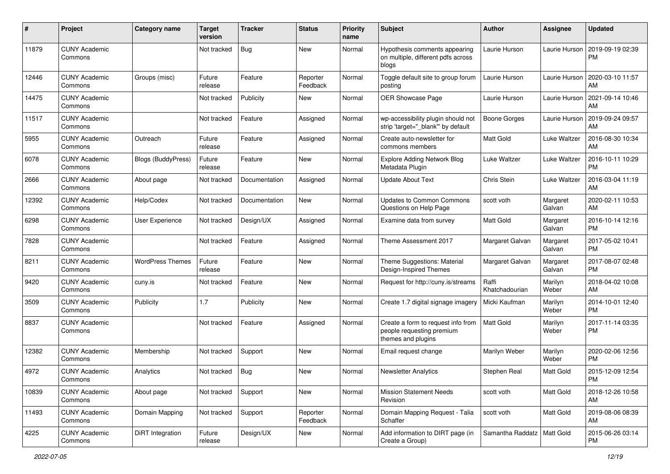| #     | Project                         | <b>Category name</b>    | <b>Target</b><br>version | <b>Tracker</b> | <b>Status</b>        | Priority<br>name | <b>Subject</b>                                                                        | <b>Author</b>                | <b>Assignee</b>    | <b>Updated</b>                |
|-------|---------------------------------|-------------------------|--------------------------|----------------|----------------------|------------------|---------------------------------------------------------------------------------------|------------------------------|--------------------|-------------------------------|
| 11879 | <b>CUNY Academic</b><br>Commons |                         | Not tracked              | Bug            | New                  | Normal           | Hypothesis comments appearing<br>on multiple, different pdfs across<br>blogs          | Laurie Hurson                | Laurie Hurson      | 2019-09-19 02:39<br>PM.       |
| 12446 | <b>CUNY Academic</b><br>Commons | Groups (misc)           | Future<br>release        | Feature        | Reporter<br>Feedback | Normal           | Toggle default site to group forum<br>posting                                         | Laurie Hurson                | Laurie Hurson      | 2020-03-10 11:57<br>AM.       |
| 14475 | <b>CUNY Academic</b><br>Commons |                         | Not tracked              | Publicity      | New                  | Normal           | OER Showcase Page                                                                     | Laurie Hurson                | Laurie Hurson      | 2021-09-14 10:46<br>AM        |
| 11517 | <b>CUNY Academic</b><br>Commons |                         | Not tracked              | Feature        | Assigned             | Normal           | wp-accessibility plugin should not<br>strip 'target="_blank"' by default              | Boone Gorges                 | Laurie Hurson      | 2019-09-24 09:57<br>AM.       |
| 5955  | <b>CUNY Academic</b><br>Commons | Outreach                | Future<br>release        | Feature        | Assigned             | Normal           | Create auto-newsletter for<br>commons members                                         | Matt Gold                    | Luke Waltzer       | 2016-08-30 10:34<br>AM        |
| 6078  | <b>CUNY Academic</b><br>Commons | Blogs (BuddyPress)      | Future<br>release        | Feature        | New                  | Normal           | <b>Explore Adding Network Blog</b><br>Metadata Plugin                                 | Luke Waltzer                 | Luke Waltzer       | 2016-10-11 10:29<br><b>PM</b> |
| 2666  | <b>CUNY Academic</b><br>Commons | About page              | Not tracked              | Documentation  | Assigned             | Normal           | <b>Update About Text</b>                                                              | Chris Stein                  | Luke Waltzer       | 2016-03-04 11:19<br>AM        |
| 12392 | <b>CUNY Academic</b><br>Commons | Help/Codex              | Not tracked              | Documentation  | New                  | Normal           | <b>Updates to Common Commons</b><br>Questions on Help Page                            | scott voth                   | Margaret<br>Galvan | 2020-02-11 10:53<br>AM        |
| 6298  | <b>CUNY Academic</b><br>Commons | <b>User Experience</b>  | Not tracked              | Design/UX      | Assigned             | Normal           | Examine data from survey                                                              | Matt Gold                    | Margaret<br>Galvan | 2016-10-14 12:16<br>PM.       |
| 7828  | <b>CUNY Academic</b><br>Commons |                         | Not tracked              | Feature        | Assigned             | Normal           | Theme Assessment 2017                                                                 | Margaret Galvan              | Margaret<br>Galvan | 2017-05-02 10:41<br><b>PM</b> |
| 8211  | <b>CUNY Academic</b><br>Commons | <b>WordPress Themes</b> | Future<br>release        | Feature        | New                  | Normal           | Theme Suggestions: Material<br>Design-Inspired Themes                                 | Margaret Galvan              | Margaret<br>Galvan | 2017-08-07 02:48<br><b>PM</b> |
| 9420  | <b>CUNY Academic</b><br>Commons | cuny.is                 | Not tracked              | Feature        | <b>New</b>           | Normal           | Request for http://cuny.is/streams                                                    | Raffi<br>Khatchadourian      | Marilyn<br>Weber   | 2018-04-02 10:08<br>AM        |
| 3509  | <b>CUNY Academic</b><br>Commons | Publicity               | 1.7                      | Publicity      | New                  | Normal           | Create 1.7 digital signage imagery                                                    | Micki Kaufman                | Marilyn<br>Weber   | 2014-10-01 12:40<br><b>PM</b> |
| 8837  | <b>CUNY Academic</b><br>Commons |                         | Not tracked              | Feature        | Assigned             | Normal           | Create a form to request info from<br>people requesting premium<br>themes and plugins | <b>Matt Gold</b>             | Marilyn<br>Weber   | 2017-11-14 03:35<br><b>PM</b> |
| 12382 | <b>CUNY Academic</b><br>Commons | Membership              | Not tracked              | Support        | New                  | Normal           | Email request change                                                                  | Marilyn Weber                | Marilyn<br>Weber   | 2020-02-06 12:56<br>PM.       |
| 4972  | <b>CUNY Academic</b><br>Commons | Analytics               | Not tracked              | <b>Bug</b>     | New                  | Normal           | <b>Newsletter Analytics</b>                                                           | Stephen Real                 | Matt Gold          | 2015-12-09 12:54<br><b>PM</b> |
| 10839 | <b>CUNY Academic</b><br>Commons | About page              | Not tracked              | Support        | New                  | Normal           | <b>Mission Statement Needs</b><br>Revision                                            | scott voth                   | Matt Gold          | 2018-12-26 10:58<br>AM        |
| 11493 | <b>CUNY Academic</b><br>Commons | Domain Mapping          | Not tracked              | Support        | Reporter<br>Feedback | Normal           | Domain Mapping Request - Talia<br>Schaffer                                            | scott voth                   | Matt Gold          | 2019-08-06 08:39<br>AM        |
| 4225  | <b>CUNY Academic</b><br>Commons | DiRT Integration        | Future<br>release        | Design/UX      | New                  | Normal           | Add information to DIRT page (in<br>Create a Group)                                   | Samantha Raddatz   Matt Gold |                    | 2015-06-26 03:14<br><b>PM</b> |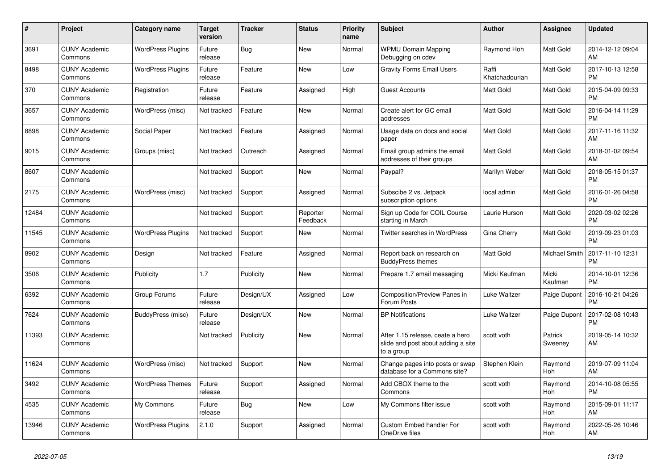| #     | Project                         | <b>Category name</b>     | <b>Target</b><br>version | <b>Tracker</b> | <b>Status</b>        | <b>Priority</b><br>name | <b>Subject</b>                                                                       | <b>Author</b>           | Assignee           | <b>Updated</b>                |
|-------|---------------------------------|--------------------------|--------------------------|----------------|----------------------|-------------------------|--------------------------------------------------------------------------------------|-------------------------|--------------------|-------------------------------|
| 3691  | <b>CUNY Academic</b><br>Commons | <b>WordPress Plugins</b> | Future<br>release        | Bug            | <b>New</b>           | Normal                  | <b>WPMU Domain Mapping</b><br>Debugging on cdev                                      | Raymond Hoh             | Matt Gold          | 2014-12-12 09:04<br>AM        |
| 8498  | <b>CUNY Academic</b><br>Commons | <b>WordPress Plugins</b> | Future<br>release        | Feature        | <b>New</b>           | Low                     | <b>Gravity Forms Email Users</b>                                                     | Raffi<br>Khatchadourian | Matt Gold          | 2017-10-13 12:58<br><b>PM</b> |
| 370   | <b>CUNY Academic</b><br>Commons | Registration             | Future<br>release        | Feature        | Assigned             | High                    | Guest Accounts                                                                       | Matt Gold               | Matt Gold          | 2015-04-09 09:33<br><b>PM</b> |
| 3657  | <b>CUNY Academic</b><br>Commons | WordPress (misc)         | Not tracked              | Feature        | <b>New</b>           | Normal                  | Create alert for GC email<br>addresses                                               | <b>Matt Gold</b>        | Matt Gold          | 2016-04-14 11:29<br><b>PM</b> |
| 8898  | <b>CUNY Academic</b><br>Commons | Social Paper             | Not tracked              | Feature        | Assigned             | Normal                  | Usage data on docs and social<br>paper                                               | Matt Gold               | Matt Gold          | 2017-11-16 11:32<br>AM        |
| 9015  | <b>CUNY Academic</b><br>Commons | Groups (misc)            | Not tracked              | Outreach       | Assigned             | Normal                  | Email group admins the email<br>addresses of their groups                            | <b>Matt Gold</b>        | Matt Gold          | 2018-01-02 09:54<br>AM        |
| 8607  | <b>CUNY Academic</b><br>Commons |                          | Not tracked              | Support        | <b>New</b>           | Normal                  | Paypal?                                                                              | Marilyn Weber           | Matt Gold          | 2018-05-15 01:37<br><b>PM</b> |
| 2175  | <b>CUNY Academic</b><br>Commons | WordPress (misc)         | Not tracked              | Support        | Assigned             | Normal                  | Subscibe 2 vs. Jetpack<br>subscription options                                       | local admin             | Matt Gold          | 2016-01-26 04:58<br><b>PM</b> |
| 12484 | <b>CUNY Academic</b><br>Commons |                          | Not tracked              | Support        | Reporter<br>Feedback | Normal                  | Sign up Code for COIL Course<br>starting in March                                    | Laurie Hurson           | Matt Gold          | 2020-03-02 02:26<br><b>PM</b> |
| 11545 | <b>CUNY Academic</b><br>Commons | <b>WordPress Plugins</b> | Not tracked              | Support        | New                  | Normal                  | Twitter searches in WordPress                                                        | Gina Cherry             | Matt Gold          | 2019-09-23 01:03<br><b>PM</b> |
| 8902  | <b>CUNY Academic</b><br>Commons | Design                   | Not tracked              | Feature        | Assigned             | Normal                  | Report back on research on<br><b>BuddyPress themes</b>                               | <b>Matt Gold</b>        | Michael Smith      | 2017-11-10 12:31<br><b>PM</b> |
| 3506  | <b>CUNY Academic</b><br>Commons | Publicity                | 1.7                      | Publicity      | <b>New</b>           | Normal                  | Prepare 1.7 email messaging                                                          | Micki Kaufman           | Micki<br>Kaufman   | 2014-10-01 12:36<br><b>PM</b> |
| 6392  | <b>CUNY Academic</b><br>Commons | Group Forums             | Future<br>release        | Design/UX      | Assigned             | Low                     | Composition/Preview Panes in<br>Forum Posts                                          | Luke Waltzer            | Paige Dupont       | 2016-10-21 04:26<br><b>PM</b> |
| 7624  | <b>CUNY Academic</b><br>Commons | BuddyPress (misc)        | Future<br>release        | Design/UX      | <b>New</b>           | Normal                  | <b>BP</b> Notifications                                                              | Luke Waltzer            | Paige Dupont       | 2017-02-08 10:43<br><b>PM</b> |
| 11393 | <b>CUNY Academic</b><br>Commons |                          | Not tracked              | Publicity      | <b>New</b>           | Normal                  | After 1.15 release, ceate a hero<br>slide and post about adding a site<br>to a group | scott voth              | Patrick<br>Sweeney | 2019-05-14 10:32<br>AM        |
| 11624 | <b>CUNY Academic</b><br>Commons | WordPress (misc)         | Not tracked              | Support        | <b>New</b>           | Normal                  | Change pages into posts or swap<br>database for a Commons site?                      | Stephen Klein           | Raymond<br>Hoh     | 2019-07-09 11:04<br>AM        |
| 3492  | <b>CUNY Academic</b><br>Commons | <b>WordPress Themes</b>  | Future<br>release        | Support        | Assigned             | Normal                  | Add CBOX theme to the<br>Commons                                                     | scott voth              | Raymond<br>Hoh     | 2014-10-08 05:55<br><b>PM</b> |
| 4535  | <b>CUNY Academic</b><br>Commons | My Commons               | Future<br>release        | <b>Bug</b>     | New                  | Low                     | My Commons filter issue                                                              | scott voth              | Raymond<br>Hoh     | 2015-09-01 11:17<br>AM        |
| 13946 | <b>CUNY Academic</b><br>Commons | <b>WordPress Plugins</b> | 2.1.0                    | Support        | Assigned             | Normal                  | Custom Embed handler For<br>OneDrive files                                           | scott voth              | Raymond<br>Hoh     | 2022-05-26 10:46<br>AM        |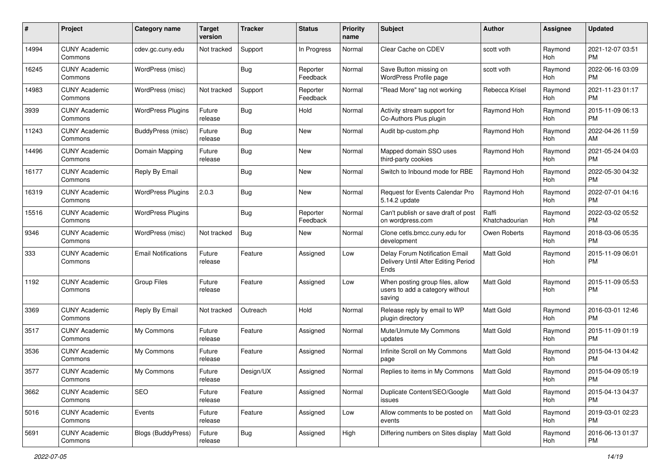| #     | Project                         | <b>Category name</b>       | <b>Target</b><br>version | <b>Tracker</b> | <b>Status</b>        | Priority<br>name | <b>Subject</b>                                                                | Author                  | <b>Assignee</b> | <b>Updated</b>                |
|-------|---------------------------------|----------------------------|--------------------------|----------------|----------------------|------------------|-------------------------------------------------------------------------------|-------------------------|-----------------|-------------------------------|
| 14994 | <b>CUNY Academic</b><br>Commons | cdev.gc.cuny.edu           | Not tracked              | Support        | In Progress          | Normal           | Clear Cache on CDEV                                                           | scott voth              | Raymond<br>Hoh  | 2021-12-07 03:51<br><b>PM</b> |
| 16245 | <b>CUNY Academic</b><br>Commons | WordPress (misc)           |                          | <b>Bug</b>     | Reporter<br>Feedback | Normal           | Save Button missing on<br>WordPress Profile page                              | scott voth              | Raymond<br>Hoh  | 2022-06-16 03:09<br><b>PM</b> |
| 14983 | <b>CUNY Academic</b><br>Commons | WordPress (misc)           | Not tracked              | Support        | Reporter<br>Feedback | Normal           | "Read More" tag not working                                                   | Rebecca Krisel          | Raymond<br>Hoh  | 2021-11-23 01:17<br><b>PM</b> |
| 3939  | <b>CUNY Academic</b><br>Commons | <b>WordPress Plugins</b>   | Future<br>release        | Bug            | Hold                 | Normal           | Activity stream support for<br>Co-Authors Plus plugin                         | Raymond Hoh             | Raymond<br>Hoh  | 2015-11-09 06:13<br><b>PM</b> |
| 11243 | <b>CUNY Academic</b><br>Commons | BuddyPress (misc)          | Future<br>release        | Bug            | New                  | Normal           | Audit bp-custom.php                                                           | Raymond Hoh             | Raymond<br>Hoh  | 2022-04-26 11:59<br>AM        |
| 14496 | <b>CUNY Academic</b><br>Commons | Domain Mapping             | Future<br>release        | Bug            | New                  | Normal           | Mapped domain SSO uses<br>third-party cookies                                 | Raymond Hoh             | Raymond<br>Hoh  | 2021-05-24 04:03<br><b>PM</b> |
| 16177 | <b>CUNY Academic</b><br>Commons | Reply By Email             |                          | Bug            | New                  | Normal           | Switch to Inbound mode for RBE                                                | Raymond Hoh             | Raymond<br>Hoh  | 2022-05-30 04:32<br><b>PM</b> |
| 16319 | <b>CUNY Academic</b><br>Commons | <b>WordPress Plugins</b>   | 2.0.3                    | Bug            | New                  | Normal           | Request for Events Calendar Pro<br>5.14.2 update                              | Raymond Hoh             | Raymond<br>Hoh  | 2022-07-01 04:16<br><b>PM</b> |
| 15516 | <b>CUNY Academic</b><br>Commons | <b>WordPress Plugins</b>   |                          | <b>Bug</b>     | Reporter<br>Feedback | Normal           | Can't publish or save draft of post<br>on wordpress.com                       | Raffi<br>Khatchadourian | Raymond<br>Hoh  | 2022-03-02 05:52<br><b>PM</b> |
| 9346  | CUNY Academic<br>Commons        | WordPress (misc)           | Not tracked              | <b>Bug</b>     | New                  | Normal           | Clone cetls.bmcc.cuny.edu for<br>development                                  | Owen Roberts            | Raymond<br>Hoh  | 2018-03-06 05:35<br><b>PM</b> |
| 333   | <b>CUNY Academic</b><br>Commons | <b>Email Notifications</b> | Future<br>release        | Feature        | Assigned             | Low              | Delay Forum Notification Email<br>Delivery Until After Editing Period<br>Ends | <b>Matt Gold</b>        | Raymond<br>Hoh  | 2015-11-09 06:01<br><b>PM</b> |
| 1192  | <b>CUNY Academic</b><br>Commons | <b>Group Files</b>         | Future<br>release        | Feature        | Assigned             | Low              | When posting group files, allow<br>users to add a category without<br>saving  | <b>Matt Gold</b>        | Raymond<br>Hoh  | 2015-11-09 05:53<br><b>PM</b> |
| 3369  | <b>CUNY Academic</b><br>Commons | Reply By Email             | Not tracked              | Outreach       | Hold                 | Normal           | Release reply by email to WP<br>plugin directory                              | Matt Gold               | Raymond<br>Hoh  | 2016-03-01 12:46<br><b>PM</b> |
| 3517  | <b>CUNY Academic</b><br>Commons | My Commons                 | Future<br>release        | Feature        | Assigned             | Normal           | Mute/Unmute My Commons<br>updates                                             | <b>Matt Gold</b>        | Raymond<br>Hoh  | 2015-11-09 01:19<br><b>PM</b> |
| 3536  | <b>CUNY Academic</b><br>Commons | My Commons                 | Future<br>release        | Feature        | Assigned             | Normal           | Infinite Scroll on My Commons<br>page                                         | Matt Gold               | Raymond<br>Hoh  | 2015-04-13 04:42<br><b>PM</b> |
| 3577  | <b>CUNY Academic</b><br>Commons | My Commons                 | Future<br>release        | Design/UX      | Assigned             | Normal           | Replies to items in My Commons                                                | Matt Gold               | Raymond<br>Hoh  | 2015-04-09 05:19<br>PM        |
| 3662  | <b>CUNY Academic</b><br>Commons | SEO                        | Future<br>release        | Feature        | Assigned             | Normal           | Duplicate Content/SEO/Google<br>issues                                        | <b>Matt Gold</b>        | Raymond<br>Hoh  | 2015-04-13 04:37<br>PM        |
| 5016  | <b>CUNY Academic</b><br>Commons | Events                     | Future<br>release        | Feature        | Assigned             | Low              | Allow comments to be posted on<br>events                                      | Matt Gold               | Raymond<br>Hoh  | 2019-03-01 02:23<br><b>PM</b> |
| 5691  | <b>CUNY Academic</b><br>Commons | <b>Blogs (BuddyPress)</b>  | Future<br>release        | Bug            | Assigned             | High             | Differing numbers on Sites display                                            | Matt Gold               | Raymond<br>Hoh  | 2016-06-13 01:37<br><b>PM</b> |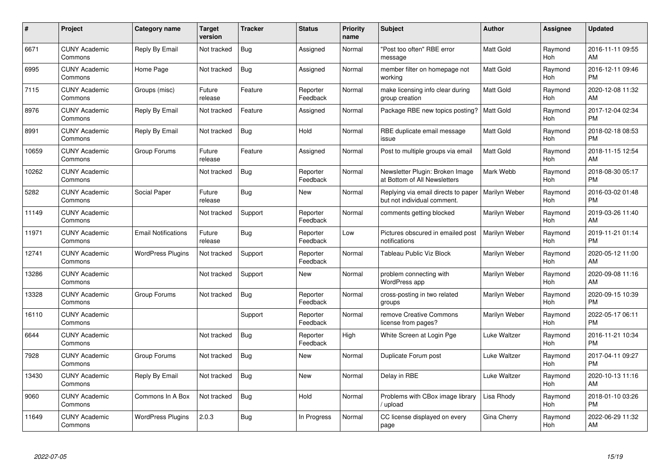| #     | Project                         | <b>Category name</b>       | <b>Target</b><br>version | <b>Tracker</b> | <b>Status</b>        | <b>Priority</b><br>name | <b>Subject</b>                                                     | <b>Author</b>    | <b>Assignee</b> | <b>Updated</b>                |
|-------|---------------------------------|----------------------------|--------------------------|----------------|----------------------|-------------------------|--------------------------------------------------------------------|------------------|-----------------|-------------------------------|
| 6671  | <b>CUNY Academic</b><br>Commons | Reply By Email             | Not tracked              | Bug            | Assigned             | Normal                  | "Post too often" RBE error<br>message                              | <b>Matt Gold</b> | Raymond<br>Hoh  | 2016-11-11 09:55<br>AM        |
| 6995  | <b>CUNY Academic</b><br>Commons | Home Page                  | Not tracked              | Bug            | Assigned             | Normal                  | member filter on homepage not<br>working                           | <b>Matt Gold</b> | Raymond<br>Hoh  | 2016-12-11 09:46<br><b>PM</b> |
| 7115  | <b>CUNY Academic</b><br>Commons | Groups (misc)              | Future<br>release        | Feature        | Reporter<br>Feedback | Normal                  | make licensing info clear during<br>group creation                 | <b>Matt Gold</b> | Raymond<br>Hoh  | 2020-12-08 11:32<br>AM        |
| 8976  | <b>CUNY Academic</b><br>Commons | Reply By Email             | Not tracked              | Feature        | Assigned             | Normal                  | Package RBE new topics posting?                                    | <b>Matt Gold</b> | Raymond<br>Hoh  | 2017-12-04 02:34<br><b>PM</b> |
| 8991  | <b>CUNY Academic</b><br>Commons | Reply By Email             | Not tracked              | <b>Bug</b>     | Hold                 | Normal                  | RBE duplicate email message<br>issue                               | <b>Matt Gold</b> | Raymond<br>Hoh  | 2018-02-18 08:53<br><b>PM</b> |
| 10659 | <b>CUNY Academic</b><br>Commons | Group Forums               | Future<br>release        | Feature        | Assigned             | Normal                  | Post to multiple groups via email                                  | <b>Matt Gold</b> | Raymond<br>Hoh  | 2018-11-15 12:54<br>AM        |
| 10262 | <b>CUNY Academic</b><br>Commons |                            | Not tracked              | <b>Bug</b>     | Reporter<br>Feedback | Normal                  | Newsletter Plugin: Broken Image<br>at Bottom of All Newsletters    | Mark Webb        | Raymond<br>Hoh  | 2018-08-30 05:17<br><b>PM</b> |
| 5282  | <b>CUNY Academic</b><br>Commons | Social Paper               | Future<br>release        | Bug            | <b>New</b>           | Normal                  | Replying via email directs to paper<br>but not individual comment. | Marilyn Weber    | Raymond<br>Hoh  | 2016-03-02 01:48<br><b>PM</b> |
| 11149 | <b>CUNY Academic</b><br>Commons |                            | Not tracked              | Support        | Reporter<br>Feedback | Normal                  | comments getting blocked                                           | Marilyn Weber    | Raymond<br>Hoh  | 2019-03-26 11:40<br>AM        |
| 11971 | <b>CUNY Academic</b><br>Commons | <b>Email Notifications</b> | Future<br>release        | Bug            | Reporter<br>Feedback | Low                     | Pictures obscured in emailed post<br>notifications                 | Marilyn Weber    | Raymond<br>Hoh  | 2019-11-21 01:14<br><b>PM</b> |
| 12741 | <b>CUNY Academic</b><br>Commons | <b>WordPress Plugins</b>   | Not tracked              | Support        | Reporter<br>Feedback | Normal                  | Tableau Public Viz Block                                           | Marilyn Weber    | Raymond<br>Hoh  | 2020-05-12 11:00<br>AM        |
| 13286 | <b>CUNY Academic</b><br>Commons |                            | Not tracked              | Support        | New                  | Normal                  | problem connecting with<br>WordPress app                           | Marilyn Weber    | Raymond<br>Hoh  | 2020-09-08 11:16<br>AM        |
| 13328 | <b>CUNY Academic</b><br>Commons | Group Forums               | Not tracked              | Bug            | Reporter<br>Feedback | Normal                  | cross-posting in two related<br>groups                             | Marilyn Weber    | Raymond<br>Hoh  | 2020-09-15 10:39<br><b>PM</b> |
| 16110 | <b>CUNY Academic</b><br>Commons |                            |                          | Support        | Reporter<br>Feedback | Normal                  | remove Creative Commons<br>license from pages?                     | Marilyn Weber    | Raymond<br>Hoh  | 2022-05-17 06:11<br><b>PM</b> |
| 6644  | <b>CUNY Academic</b><br>Commons |                            | Not tracked              | Bug            | Reporter<br>Feedback | High                    | White Screen at Login Pge                                          | Luke Waltzer     | Raymond<br>Hoh  | 2016-11-21 10:34<br><b>PM</b> |
| 7928  | <b>CUNY Academic</b><br>Commons | Group Forums               | Not tracked              | Bug            | New                  | Normal                  | Duplicate Forum post                                               | Luke Waltzer     | Raymond<br>Hoh  | 2017-04-11 09:27<br><b>PM</b> |
| 13430 | <b>CUNY Academic</b><br>Commons | Reply By Email             | Not tracked              | Bug            | <b>New</b>           | Normal                  | Delay in RBE                                                       | Luke Waltzer     | Raymond<br>Hoh  | 2020-10-13 11:16<br>AM        |
| 9060  | <b>CUNY Academic</b><br>Commons | Commons In A Box           | Not tracked              | <b>Bug</b>     | Hold                 | Normal                  | Problems with CBox image library<br>/ upload                       | Lisa Rhody       | Raymond<br>Hoh  | 2018-01-10 03:26<br><b>PM</b> |
| 11649 | <b>CUNY Academic</b><br>Commons | <b>WordPress Plugins</b>   | 2.0.3                    | Bug            | In Progress          | Normal                  | CC license displayed on every<br>page                              | Gina Cherry      | Raymond<br>Hoh  | 2022-06-29 11:32<br>AM        |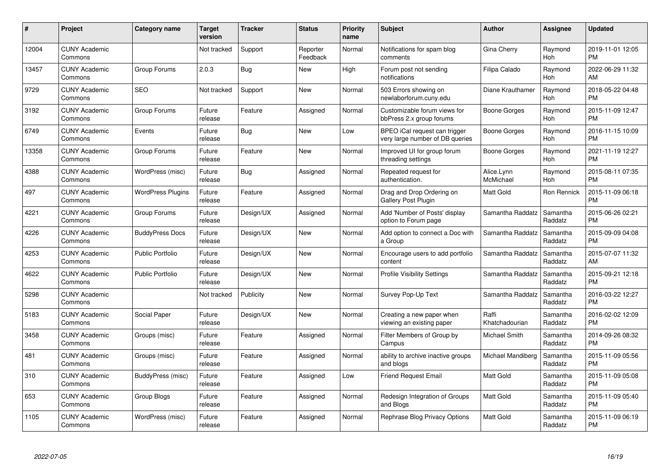| #     | Project                         | <b>Category name</b>     | <b>Target</b><br>version | <b>Tracker</b> | <b>Status</b>        | Priority<br>name | <b>Subject</b>                                                   | <b>Author</b>           | <b>Assignee</b>     | <b>Updated</b>                |
|-------|---------------------------------|--------------------------|--------------------------|----------------|----------------------|------------------|------------------------------------------------------------------|-------------------------|---------------------|-------------------------------|
| 12004 | <b>CUNY Academic</b><br>Commons |                          | Not tracked              | Support        | Reporter<br>Feedback | Normal           | Notifications for spam blog<br>comments                          | Gina Cherry             | Raymond<br>Hoh      | 2019-11-01 12:05<br><b>PM</b> |
| 13457 | <b>CUNY Academic</b><br>Commons | Group Forums             | 2.0.3                    | Bug            | <b>New</b>           | High             | Forum post not sending<br>notifications                          | Filipa Calado           | Raymond<br>Hoh      | 2022-06-29 11:32<br>AM        |
| 9729  | <b>CUNY Academic</b><br>Commons | <b>SEO</b>               | Not tracked              | Support        | <b>New</b>           | Normal           | 503 Errors showing on<br>newlaborforum.cuny.edu                  | Diane Krauthamer        | Raymond<br>Hoh      | 2018-05-22 04:48<br><b>PM</b> |
| 3192  | <b>CUNY Academic</b><br>Commons | Group Forums             | Future<br>release        | Feature        | Assigned             | Normal           | Customizable forum views for<br>bbPress 2.x group forums         | Boone Gorges            | Raymond<br>Hoh      | 2015-11-09 12:47<br><b>PM</b> |
| 6749  | <b>CUNY Academic</b><br>Commons | Events                   | Future<br>release        | Bug            | <b>New</b>           | Low              | BPEO iCal request can trigger<br>very large number of DB queries | Boone Gorges            | Raymond<br>Hoh      | 2016-11-15 10:09<br><b>PM</b> |
| 13358 | <b>CUNY Academic</b><br>Commons | Group Forums             | Future<br>release        | Feature        | <b>New</b>           | Normal           | Improved UI for group forum<br>threading settings                | Boone Gorges            | Raymond<br>Hoh      | 2021-11-19 12:27<br><b>PM</b> |
| 4388  | <b>CUNY Academic</b><br>Commons | WordPress (misc)         | Future<br>release        | <b>Bug</b>     | Assigned             | Normal           | Repeated request for<br>authentication.                          | Alice.Lynn<br>McMichael | Raymond<br>Hoh      | 2015-08-11 07:35<br><b>PM</b> |
| 497   | <b>CUNY Academic</b><br>Commons | <b>WordPress Plugins</b> | Future<br>release        | Feature        | Assigned             | Normal           | Drag and Drop Ordering on<br>Gallery Post Plugin                 | <b>Matt Gold</b>        | Ron Rennick         | 2015-11-09 06:18<br><b>PM</b> |
| 4221  | <b>CUNY Academic</b><br>Commons | Group Forums             | Future<br>release        | Design/UX      | Assigned             | Normal           | Add 'Number of Posts' display<br>option to Forum page            | Samantha Raddatz        | Samantha<br>Raddatz | 2015-06-26 02:21<br><b>PM</b> |
| 4226  | <b>CUNY Academic</b><br>Commons | <b>BuddyPress Docs</b>   | Future<br>release        | Design/UX      | New                  | Normal           | Add option to connect a Doc with<br>a Group                      | Samantha Raddatz        | Samantha<br>Raddatz | 2015-09-09 04:08<br><b>PM</b> |
| 4253  | <b>CUNY Academic</b><br>Commons | Public Portfolio         | Future<br>release        | Design/UX      | New                  | Normal           | Encourage users to add portfolio<br>content                      | Samantha Raddatz        | Samantha<br>Raddatz | 2015-07-07 11:32<br>AM        |
| 4622  | <b>CUNY Academic</b><br>Commons | <b>Public Portfolio</b>  | Future<br>release        | Design/UX      | New                  | Normal           | <b>Profile Visibility Settings</b>                               | Samantha Raddatz        | Samantha<br>Raddatz | 2015-09-21 12:18<br><b>PM</b> |
| 5298  | <b>CUNY Academic</b><br>Commons |                          | Not tracked              | Publicity      | New                  | Normal           | Survey Pop-Up Text                                               | Samantha Raddatz        | Samantha<br>Raddatz | 2016-03-22 12:27<br><b>PM</b> |
| 5183  | <b>CUNY Academic</b><br>Commons | Social Paper             | Future<br>release        | Design/UX      | New                  | Normal           | Creating a new paper when<br>viewing an existing paper           | Raffi<br>Khatchadourian | Samantha<br>Raddatz | 2016-02-02 12:09<br><b>PM</b> |
| 3458  | <b>CUNY Academic</b><br>Commons | Groups (misc)            | Future<br>release        | Feature        | Assigned             | Normal           | Filter Members of Group by<br>Campus                             | Michael Smith           | Samantha<br>Raddatz | 2014-09-26 08:32<br><b>PM</b> |
| 481   | <b>CUNY Academic</b><br>Commons | Groups (misc)            | Future<br>release        | Feature        | Assigned             | Normal           | ability to archive inactive groups<br>and blogs                  | Michael Mandiberg       | Samantha<br>Raddatz | 2015-11-09 05:56<br><b>PM</b> |
| 310   | <b>CUNY Academic</b><br>Commons | BuddyPress (misc)        | Future<br>release        | Feature        | Assigned             | Low              | <b>Friend Request Email</b>                                      | <b>Matt Gold</b>        | Samantha<br>Raddatz | 2015-11-09 05:08<br><b>PM</b> |
| 653   | <b>CUNY Academic</b><br>Commons | Group Blogs              | Future<br>release        | Feature        | Assigned             | Normal           | Redesign Integration of Groups<br>and Blogs                      | <b>Matt Gold</b>        | Samantha<br>Raddatz | 2015-11-09 05:40<br><b>PM</b> |
| 1105  | <b>CUNY Academic</b><br>Commons | WordPress (misc)         | Future<br>release        | Feature        | Assigned             | Normal           | Rephrase Blog Privacy Options                                    | <b>Matt Gold</b>        | Samantha<br>Raddatz | 2015-11-09 06:19<br><b>PM</b> |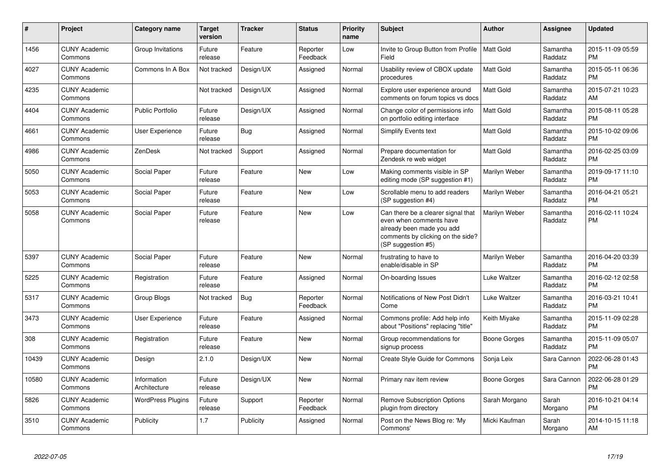| $\#$  | Project                         | <b>Category name</b>        | <b>Target</b><br>version | <b>Tracker</b> | <b>Status</b>        | <b>Priority</b><br>name | <b>Subject</b>                                                                                                                                        | <b>Author</b>    | <b>Assignee</b>     | <b>Updated</b>                |
|-------|---------------------------------|-----------------------------|--------------------------|----------------|----------------------|-------------------------|-------------------------------------------------------------------------------------------------------------------------------------------------------|------------------|---------------------|-------------------------------|
| 1456  | <b>CUNY Academic</b><br>Commons | Group Invitations           | Future<br>release        | Feature        | Reporter<br>Feedback | Low                     | Invite to Group Button from Profile<br>Field                                                                                                          | <b>Matt Gold</b> | Samantha<br>Raddatz | 2015-11-09 05:59<br><b>PM</b> |
| 4027  | <b>CUNY Academic</b><br>Commons | Commons In A Box            | Not tracked              | Design/UX      | Assigned             | Normal                  | Usability review of CBOX update<br>procedures                                                                                                         | <b>Matt Gold</b> | Samantha<br>Raddatz | 2015-05-11 06:36<br><b>PM</b> |
| 4235  | <b>CUNY Academic</b><br>Commons |                             | Not tracked              | Design/UX      | Assigned             | Normal                  | Explore user experience around<br>comments on forum topics vs docs                                                                                    | Matt Gold        | Samantha<br>Raddatz | 2015-07-21 10:23<br>AM        |
| 4404  | <b>CUNY Academic</b><br>Commons | <b>Public Portfolio</b>     | Future<br>release        | Design/UX      | Assigned             | Normal                  | Change color of permissions info<br>on portfolio editing interface                                                                                    | <b>Matt Gold</b> | Samantha<br>Raddatz | 2015-08-11 05:28<br><b>PM</b> |
| 4661  | <b>CUNY Academic</b><br>Commons | <b>User Experience</b>      | Future<br>release        | <b>Bug</b>     | Assigned             | Normal                  | Simplify Events text                                                                                                                                  | <b>Matt Gold</b> | Samantha<br>Raddatz | 2015-10-02 09:06<br><b>PM</b> |
| 4986  | <b>CUNY Academic</b><br>Commons | ZenDesk                     | Not tracked              | Support        | Assigned             | Normal                  | Prepare documentation for<br>Zendesk re web widget                                                                                                    | Matt Gold        | Samantha<br>Raddatz | 2016-02-25 03:09<br><b>PM</b> |
| 5050  | <b>CUNY Academic</b><br>Commons | Social Paper                | Future<br>release        | Feature        | New                  | Low                     | Making comments visible in SP<br>editing mode (SP suggestion #1)                                                                                      | Marilyn Weber    | Samantha<br>Raddatz | 2019-09-17 11:10<br><b>PM</b> |
| 5053  | <b>CUNY Academic</b><br>Commons | Social Paper                | Future<br>release        | Feature        | New                  | Low                     | Scrollable menu to add readers<br>(SP suggestion #4)                                                                                                  | Marilyn Weber    | Samantha<br>Raddatz | 2016-04-21 05:21<br><b>PM</b> |
| 5058  | <b>CUNY Academic</b><br>Commons | Social Paper                | Future<br>release        | Feature        | New                  | Low                     | Can there be a clearer signal that<br>even when comments have<br>already been made you add<br>comments by clicking on the side?<br>(SP suggestion #5) | Marilyn Weber    | Samantha<br>Raddatz | 2016-02-11 10:24<br><b>PM</b> |
| 5397  | <b>CUNY Academic</b><br>Commons | Social Paper                | Future<br>release        | Feature        | New                  | Normal                  | frustrating to have to<br>enable/disable in SP                                                                                                        | Marilyn Weber    | Samantha<br>Raddatz | 2016-04-20 03:39<br><b>PM</b> |
| 5225  | <b>CUNY Academic</b><br>Commons | Registration                | Future<br>release        | Feature        | Assigned             | Normal                  | On-boarding Issues                                                                                                                                    | Luke Waltzer     | Samantha<br>Raddatz | 2016-02-12 02:58<br><b>PM</b> |
| 5317  | <b>CUNY Academic</b><br>Commons | Group Blogs                 | Not tracked              | Bug            | Reporter<br>Feedback | Normal                  | Notifications of New Post Didn't<br>Come                                                                                                              | Luke Waltzer     | Samantha<br>Raddatz | 2016-03-21 10:41<br><b>PM</b> |
| 3473  | <b>CUNY Academic</b><br>Commons | <b>User Experience</b>      | Future<br>release        | Feature        | Assigned             | Normal                  | Commons profile: Add help info<br>about "Positions" replacing "title"                                                                                 | Keith Miyake     | Samantha<br>Raddatz | 2015-11-09 02:28<br><b>PM</b> |
| 308   | <b>CUNY Academic</b><br>Commons | Registration                | Future<br>release        | Feature        | <b>New</b>           | Normal                  | Group recommendations for<br>signup process                                                                                                           | Boone Gorges     | Samantha<br>Raddatz | 2015-11-09 05:07<br><b>PM</b> |
| 10439 | <b>CUNY Academic</b><br>Commons | Design                      | 2.1.0                    | Design/UX      | New                  | Normal                  | Create Style Guide for Commons                                                                                                                        | Sonja Leix       | Sara Cannon         | 2022-06-28 01:43<br><b>PM</b> |
| 10580 | <b>CUNY Academic</b><br>Commons | Information<br>Architecture | Future<br>release        | Design/UX      | New                  | Normal                  | Primary nav item review                                                                                                                               | Boone Gorges     | Sara Cannon         | 2022-06-28 01:29<br><b>PM</b> |
| 5826  | <b>CUNY Academic</b><br>Commons | <b>WordPress Plugins</b>    | Future<br>release        | Support        | Reporter<br>Feedback | Normal                  | <b>Remove Subscription Options</b><br>plugin from directory                                                                                           | Sarah Morgano    | Sarah<br>Morgano    | 2016-10-21 04:14<br><b>PM</b> |
| 3510  | <b>CUNY Academic</b><br>Commons | Publicity                   | 1.7                      | Publicity      | Assigned             | Normal                  | Post on the News Blog re: 'My<br>Commons'                                                                                                             | Micki Kaufman    | Sarah<br>Morgano    | 2014-10-15 11:18<br>AM        |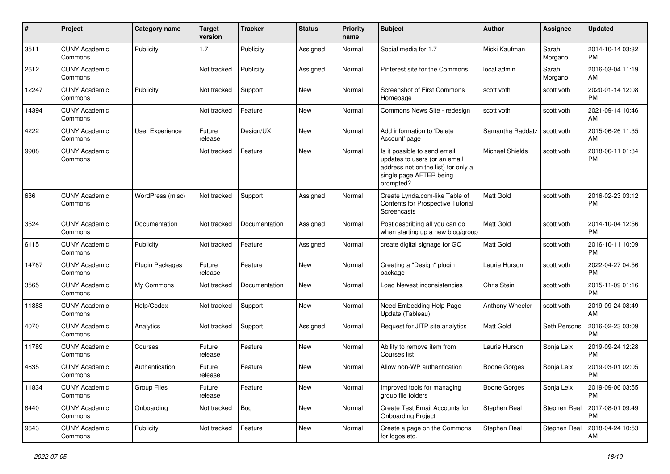| $\#$  | Project                         | <b>Category name</b> | <b>Target</b><br>version | <b>Tracker</b> | <b>Status</b> | <b>Priority</b><br>name | <b>Subject</b>                                                                                                                               | Author                 | Assignee         | <b>Updated</b>                |
|-------|---------------------------------|----------------------|--------------------------|----------------|---------------|-------------------------|----------------------------------------------------------------------------------------------------------------------------------------------|------------------------|------------------|-------------------------------|
| 3511  | <b>CUNY Academic</b><br>Commons | Publicity            | 1.7                      | Publicity      | Assigned      | Normal                  | Social media for 1.7                                                                                                                         | Micki Kaufman          | Sarah<br>Morgano | 2014-10-14 03:32<br>PM.       |
| 2612  | <b>CUNY Academic</b><br>Commons |                      | Not tracked              | Publicity      | Assigned      | Normal                  | Pinterest site for the Commons                                                                                                               | local admin            | Sarah<br>Morgano | 2016-03-04 11:19<br>AM        |
| 12247 | <b>CUNY Academic</b><br>Commons | Publicity            | Not tracked              | Support        | New           | Normal                  | <b>Screenshot of First Commons</b><br>Homepage                                                                                               | scott voth             | scott voth       | 2020-01-14 12:08<br><b>PM</b> |
| 14394 | <b>CUNY Academic</b><br>Commons |                      | Not tracked              | Feature        | <b>New</b>    | Normal                  | Commons News Site - redesign                                                                                                                 | scott voth             | scott voth       | 2021-09-14 10:46<br>AM        |
| 4222  | <b>CUNY Academic</b><br>Commons | User Experience      | Future<br>release        | Design/UX      | <b>New</b>    | Normal                  | Add information to 'Delete<br>Account' page                                                                                                  | Samantha Raddatz       | scott voth       | 2015-06-26 11:35<br>AM        |
| 9908  | <b>CUNY Academic</b><br>Commons |                      | Not tracked              | Feature        | <b>New</b>    | Normal                  | Is it possible to send email<br>updates to users (or an email<br>address not on the list) for only a<br>single page AFTER being<br>prompted? | <b>Michael Shields</b> | scott voth       | 2018-06-11 01:34<br><b>PM</b> |
| 636   | <b>CUNY Academic</b><br>Commons | WordPress (misc)     | Not tracked              | Support        | Assigned      | Normal                  | Create Lynda.com-like Table of<br>Contents for Prospective Tutorial<br>Screencasts                                                           | <b>Matt Gold</b>       | scott voth       | 2016-02-23 03:12<br><b>PM</b> |
| 3524  | <b>CUNY Academic</b><br>Commons | Documentation        | Not tracked              | Documentation  | Assigned      | Normal                  | Post describing all you can do<br>when starting up a new blog/group                                                                          | <b>Matt Gold</b>       | scott voth       | 2014-10-04 12:56<br><b>PM</b> |
| 6115  | <b>CUNY Academic</b><br>Commons | Publicity            | Not tracked              | Feature        | Assigned      | Normal                  | create digital signage for GC                                                                                                                | <b>Matt Gold</b>       | scott voth       | 2016-10-11 10:09<br><b>PM</b> |
| 14787 | <b>CUNY Academic</b><br>Commons | Plugin Packages      | Future<br>release        | Feature        | <b>New</b>    | Normal                  | Creating a "Design" plugin<br>package                                                                                                        | Laurie Hurson          | scott voth       | 2022-04-27 04:56<br><b>PM</b> |
| 3565  | <b>CUNY Academic</b><br>Commons | My Commons           | Not tracked              | Documentation  | New           | Normal                  | Load Newest inconsistencies                                                                                                                  | Chris Stein            | scott voth       | 2015-11-09 01:16<br><b>PM</b> |
| 11883 | <b>CUNY Academic</b><br>Commons | Help/Codex           | Not tracked              | Support        | New           | Normal                  | Need Embedding Help Page<br>Update (Tableau)                                                                                                 | Anthony Wheeler        | scott voth       | 2019-09-24 08:49<br>AM        |
| 4070  | <b>CUNY Academic</b><br>Commons | Analytics            | Not tracked              | Support        | Assigned      | Normal                  | Request for JITP site analytics                                                                                                              | <b>Matt Gold</b>       | Seth Persons     | 2016-02-23 03:09<br><b>PM</b> |
| 11789 | <b>CUNY Academic</b><br>Commons | Courses              | Future<br>release        | Feature        | New           | Normal                  | Ability to remove item from<br>Courses list                                                                                                  | Laurie Hurson          | Sonja Leix       | 2019-09-24 12:28<br><b>PM</b> |
| 4635  | <b>CUNY Academic</b><br>Commons | Authentication       | Future<br>release        | Feature        | <b>New</b>    | Normal                  | Allow non-WP authentication                                                                                                                  | Boone Gorges           | Sonja Leix       | 2019-03-01 02:05<br><b>PM</b> |
| 11834 | <b>CUNY Academic</b><br>Commons | <b>Group Files</b>   | Future<br>release        | Feature        | New           | Normal                  | Improved tools for managing<br>group file folders                                                                                            | <b>Boone Gorges</b>    | Sonja Leix       | 2019-09-06 03:55<br><b>PM</b> |
| 8440  | <b>CUNY Academic</b><br>Commons | Onboarding           | Not tracked              | <b>Bug</b>     | <b>New</b>    | Normal                  | Create Test Email Accounts for<br><b>Onboarding Project</b>                                                                                  | Stephen Real           | Stephen Real     | 2017-08-01 09:49<br>PM        |
| 9643  | <b>CUNY Academic</b><br>Commons | Publicity            | Not tracked              | Feature        | New           | Normal                  | Create a page on the Commons<br>for logos etc.                                                                                               | Stephen Real           | Stephen Real     | 2018-04-24 10:53<br>AM        |